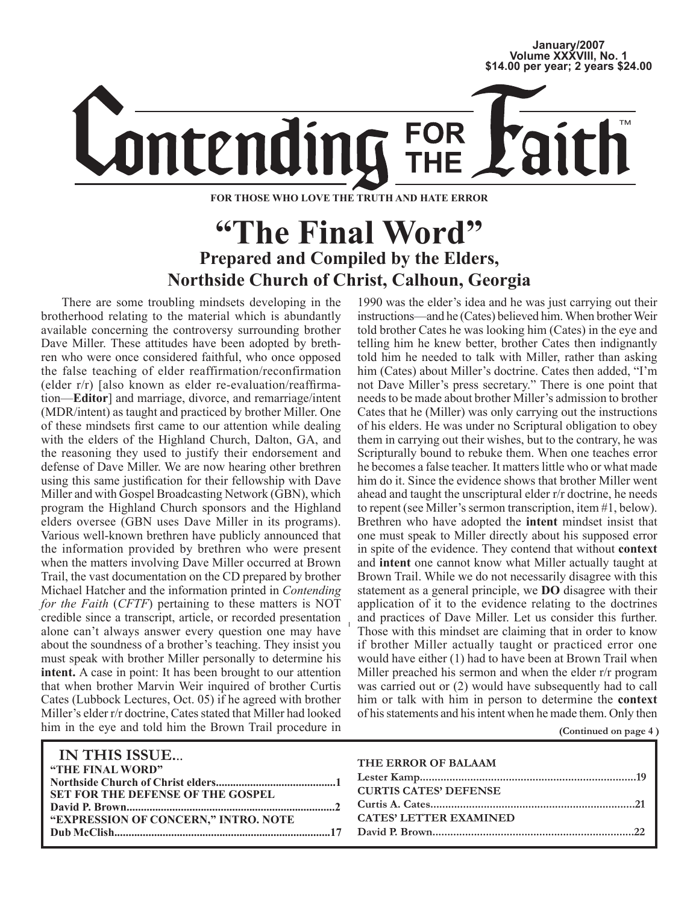# **January/2007 Volume XXXVIII, No. 1 \$14.00 per year; 2 years \$24.00**

**FOR** ontending

**FOR THOSE WHO LOVE THE TRUTH AND HATE ERROR**

# **"The Final Word" Prepared and Compiled by the Elders, Northside Church of Christ, Calhoun, Georgia**

There are some troubling mindsets developing in the brotherhood relating to the material which is abundantly available concerning the controversy surrounding brother Dave Miller. These attitudes have been adopted by brethren who were once considered faithful, who once opposed the false teaching of elder reaffirmation/reconfirmation (elder r/r) [also known as elder re-evaluation/reaffirmation—**Editor**] and marriage, divorce, and remarriage/intent (MDR/intent) as taught and practiced by brother Miller. One of these mindsets first came to our attention while dealing with the elders of the Highland Church, Dalton, GA, and the reasoning they used to justify their endorsement and defense of Dave Miller. We are now hearing other brethren using this same justification for their fellowship with Dave Miller and with Gospel Broadcasting Network (GBN), which program the Highland Church sponsors and the Highland elders oversee (GBN uses Dave Miller in its programs). Various well-known brethren have publicly announced that the information provided by brethren who were present when the matters involving Dave Miller occurred at Brown Trail, the vast documentation on the CD prepared by brother Michael Hatcher and the information printed in *Contending for the Faith* (*CFTF*) pertaining to these matters is NOT credible since a transcript, article, or recorded presentation alone can't always answer every question one may have about the soundness of a brother's teaching. They insist you must speak with brother Miller personally to determine his **intent.** A case in point: It has been brought to our attention that when brother Marvin Weir inquired of brother Curtis Cates (Lubbock Lectures, Oct. 05) if he agreed with brother Miller's elder r/r doctrine, Cates stated that Miller had looked him in the eye and told him the Brown Trail procedure in

1990 was the elder's idea and he was just carrying out their instructions—and he (Cates) believed him. When brother Weir told brother Cates he was looking him (Cates) in the eye and telling him he knew better, brother Cates then indignantly told him he needed to talk with Miller, rather than asking him (Cates) about Miller's doctrine. Cates then added, "I'm not Dave Miller's press secretary." There is one point that needs to be made about brother Miller's admission to brother Cates that he (Miller) was only carrying out the instructions of his elders. He was under no Scriptural obligation to obey them in carrying out their wishes, but to the contrary, he was Scripturally bound to rebuke them. When one teaches error he becomes a false teacher. It matters little who or what made him do it. Since the evidence shows that brother Miller went ahead and taught the unscriptural elder r/r doctrine, he needs to repent (see Miller's sermon transcription, item #1, below). Brethren who have adopted the **intent** mindset insist that one must speak to Miller directly about his supposed error in spite of the evidence. They contend that without **context**  and **intent** one cannot know what Miller actually taught at Brown Trail. While we do not necessarily disagree with this statement as a general principle, we **DO** disagree with their application of it to the evidence relating to the doctrines and practices of Dave Miller. Let us consider this further. Those with this mindset are claiming that in order to know if brother Miller actually taught or practiced error one would have either (1) had to have been at Brown Trail when Miller preached his sermon and when the elder r/r program was carried out or (2) would have subsequently had to call him or talk with him in person to determine the **context** of his statements and his intent when he made them. Only then

**(Continued on page 4 )**

| IN THIS ISSUE                              | THE ERROR OF BALAAM           |
|--------------------------------------------|-------------------------------|
| "THE FINAL WORD"                           |                               |
|                                            | <b>CURTIS CATES' DEFENSE</b>  |
| <b>SET FOR THE DEFENSE OF THE GOSPEL</b>   |                               |
|                                            | <b>CATES' LETTER EXAMINED</b> |
| <b>EXPRESSION OF CONCERN," INTRO. NOTE</b> |                               |
|                                            |                               |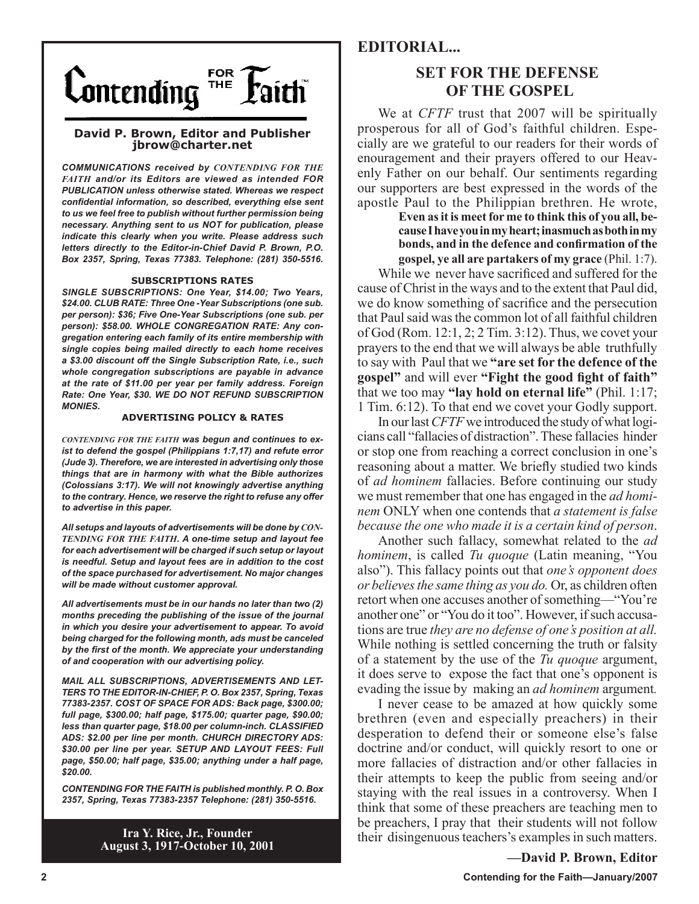

#### **David P. Brown, Editor and Publisher jbrow@charter.net**

*COMMUNICATIONS received by CONTENDING FOR THE FAITH and/or its Editors are viewed as intended FOR PUBLICATION unless otherwise stated. Whereas we respect confidential information, so described, everything else sent to us we feel free to publish without further permission being necessary. Anything sent to us NOT for publication, please indicate this clearly when you write. Please address such letters directly to the Editor-in-Chief David P. Brown, P.O. Box 2357, Spring, Texas 77383. Telephone: (281) 350-5516.*

#### **SUBSCRIPTIONS RATES**

*SINGLE SUBSCRIPTIONS: One Year, \$14.00; Two Years, \$24.00. CLUB RATE: Three One -Year Subscriptions (one sub. per person): \$36; Five One-Year Subscriptions (one sub. per person): \$58.00. WHOLE CONGREGATION RATE: Any congregation entering each family of its entire membership with single copies being mailed directly to each home receives a \$3.00 discount off the Single Subscription Rate, i.e., such whole congregation subscriptions are payable in advance at the rate of \$11.00 per year per family address. Foreign Rate: One Year, \$30. WE DO NOT REFUND SUBSCRIPTION MONIES.*

#### **ADVERTISING POLICY & RATES**

*CONTENDING FOR THE FAITH was begun and continues to exist to defend the gospel (Philippians 1:7,17) and refute error (Jude 3). Therefore, we are interested in advertising only those things that are in harmony with what the Bible authorizes (Colossians 3:17). We will not knowingly advertise anything to the contrary. Hence, we reserve the right to refuse any offer to advertise in this paper.*

*All setups and layouts of advertisements will be done by CON-TENDING FOR THE FAITH. A one-time setup and layout fee for each advertisement will be charged if such setup or layout is needful. Setup and layout fees are in addition to the cost of the space purchased for advertisement. No major changes will be made without customer approval.*

*All advertisements must be in our hands no later than two (2) months preceding the publishing of the issue of the journal in which you desire your advertisement to appear. To avoid being charged for the following month, ads must be canceled by the first of the month. We appreciate your understanding of and cooperation with our advertising policy.*

*MAIL ALL SUBSCRIPTIONS, ADVERTISEMENTS AND LET-TERS TO THE EDITOR-IN-CHIEF, P. O. Box 2357, Spring, Texas 77383-2357. COST OF SPACE FOR ADS: Back page, \$300.00; full page, \$300.00; half page, \$175.00; quarter page, \$90.00; less than quarter page, \$18.00 per column-inch. CLASSIFIED ADS: \$2.00 per line per month. CHURCH DIRECTORY ADS: \$30.00 per line per year. SETUP AND LAYOUT FEES: Full page, \$50.00; half page, \$35.00; anything under a half page, \$20.00.*

*CONTENDING FOR THE FAITH is published monthly. P. O. Box 2357, Spring, Texas 77383-2357 Telephone: (281) 350-5516.*

> **Ira Y. Rice, Jr., Founder August 3, 1917-October 10, 2001**

## **EDITORIAL...**

# **SET FOR THE DEFENSE OF THE GOSPEL**

We at *CFTF* trust that 2007 will be spiritually prosperous for all of God's faithful children. Especially are we grateful to our readers for their words of enouragement and their prayers offered to our Heavenly Father on our behalf. Our sentiments regarding our supporters are best expressed in the words of the apostle Paul to the Philippian brethren. He wrote,

> **Even as it is meet for me to think this of you all, because I have you in my heart; inasmuch as both in my bonds, and in the defence and confirmation of the gospel, ye all are partakers of my grace** (Phil. 1:7).

While we never have sacrificed and suffered for the cause of Christ in the ways and to the extent that Paul did, we do know something of sacrifice and the persecution that Paul said was the common lot of all faithful children of God (Rom. 12:1, 2; 2 Tim. 3:12). Thus, we covet your prayers to the end that we will always be able truthfully to say with Paul that we **"are set for the defence of the gospel"** and will ever **"Fight the good fight of faith"** that we too may **"lay hold on eternal life"** (Phil. 1:17; 1 Tim. 6:12). To that end we covet your Godly support.

In our last *CFTF* we introduced the study of what logicians call "fallacies of distraction". These fallacies hinder or stop one from reaching a correct conclusion in one's reasoning about a matter. We briefly studied two kinds of *ad hominem* fallacies. Before continuing our study we must remember that one has engaged in the *ad hominem* ONLY when one contends that *a statement is false because the one who made it is a certain kind of person*.

Another such fallacy, somewhat related to the *ad hominem*, is called *Tu quoque* (Latin meaning, "You also"). This fallacy points out that *one's opponent does or believes the same thing as you do.* Or, as children often retort when one accuses another of something—"You're another one" or "You do it too". However, if such accusations are true *they are no defense of one's position at all.*  While nothing is settled concerning the truth or falsity of a statement by the use of the *Tu quoque* argument, it does serve to expose the fact that one's opponent is evading the issue by making an *ad hominem* argument*.*

I never cease to be amazed at how quickly some brethren (even and especially preachers) in their desperation to defend their or someone else's false doctrine and/or conduct, will quickly resort to one or more fallacies of distraction and/or other fallacies in their attempts to keep the public from seeing and/or staying with the real issues in a controversy. When I think that some of these preachers are teaching men to be preachers, I pray that their students will not follow their disingenuous teachers's examples in such matters.

**—David P. Brown, Editor**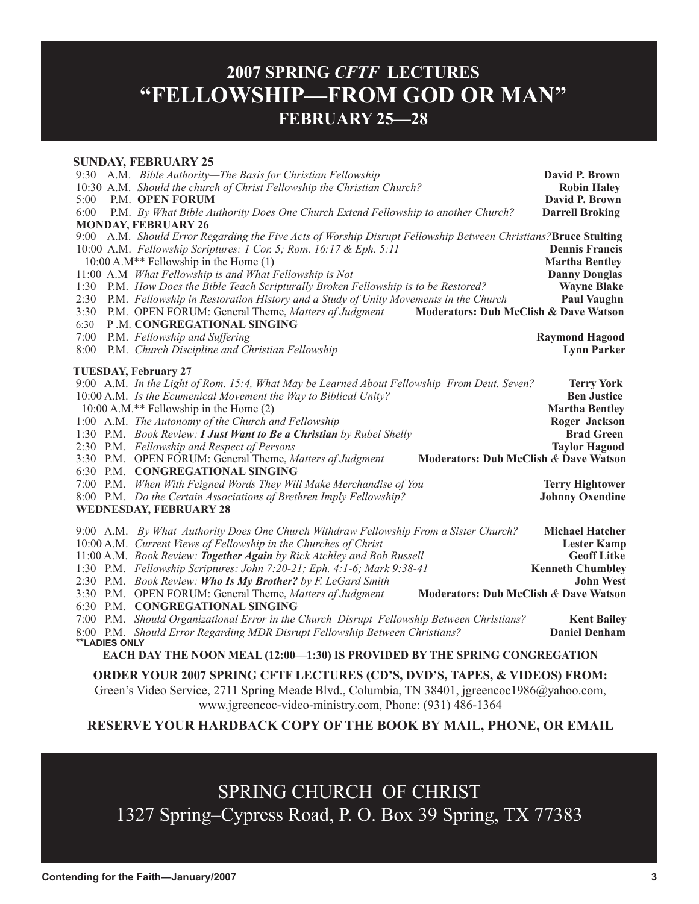# **2007 SPRING** *CFTF* **LECTURES "FELLOWSHIP—FROM GOD OR MAN" FEBRUARY 25—28**

#### **SUNDAY, FEBRUARY 25**

|                                                                                      |  | 9:30 A.M. Bible Authority—The Basis for Christian Fellowship                                                                                                                                                                                                                                                       | David P. Brown          |
|--------------------------------------------------------------------------------------|--|--------------------------------------------------------------------------------------------------------------------------------------------------------------------------------------------------------------------------------------------------------------------------------------------------------------------|-------------------------|
|                                                                                      |  | 10:30 A.M. Should the church of Christ Fellowship the Christian Church?                                                                                                                                                                                                                                            | <b>Robin Haley</b>      |
| 5:00                                                                                 |  | <b>P.M. OPEN FORUM</b>                                                                                                                                                                                                                                                                                             | David P. Brown          |
| 6:00                                                                                 |  | P.M. By What Bible Authority Does One Church Extend Fellowship to another Church?                                                                                                                                                                                                                                  | <b>Darrell Broking</b>  |
|                                                                                      |  | <b>MONDAY, FEBRUARY 26</b>                                                                                                                                                                                                                                                                                         |                         |
|                                                                                      |  | 9:00 A.M. Should Error Regarding the Five Acts of Worship Disrupt Fellowship Between Christians? Bruce Stulting                                                                                                                                                                                                    |                         |
|                                                                                      |  | 10:00 A.M. Fellowship Scriptures: 1 Cor. 5; Rom. 16:17 & Eph. 5:11                                                                                                                                                                                                                                                 | <b>Dennis Francis</b>   |
|                                                                                      |  | $10:00$ A.M** Fellowship in the Home $(1)$                                                                                                                                                                                                                                                                         | <b>Martha Bentley</b>   |
|                                                                                      |  | 11:00 A.M What Fellowship is and What Fellowship is Not                                                                                                                                                                                                                                                            | <b>Danny Douglas</b>    |
| 1:30                                                                                 |  | P.M. How Does the Bible Teach Scripturally Broken Fellowship is to be Restored?                                                                                                                                                                                                                                    | <b>Wayne Blake</b>      |
| 2:30                                                                                 |  | P.M. Fellowship in Restoration History and a Study of Unity Movements in the Church                                                                                                                                                                                                                                | <b>Paul Vaughn</b>      |
| 3:30                                                                                 |  | P.M. OPEN FORUM: General Theme, Matters of Judgment<br>Moderators: Dub McClish & Dave Watson                                                                                                                                                                                                                       |                         |
| 6:30                                                                                 |  | P.M. CONGREGATIONAL SINGING                                                                                                                                                                                                                                                                                        |                         |
| 7:00                                                                                 |  | P.M. Fellowship and Suffering                                                                                                                                                                                                                                                                                      | <b>Raymond Hagood</b>   |
| 8:00                                                                                 |  | P.M. Church Discipline and Christian Fellowship                                                                                                                                                                                                                                                                    | <b>Lynn Parker</b>      |
|                                                                                      |  | <b>TUESDAY, February 27</b>                                                                                                                                                                                                                                                                                        |                         |
|                                                                                      |  | 9:00 A.M. In the Light of Rom. 15:4, What May be Learned About Fellowship From Deut. Seven?                                                                                                                                                                                                                        | <b>Terry York</b>       |
|                                                                                      |  | 10:00 A.M. Is the Ecumenical Movement the Way to Biblical Unity?                                                                                                                                                                                                                                                   | <b>Ben Justice</b>      |
|                                                                                      |  | $10:00$ A.M.** Fellowship in the Home $(2)$                                                                                                                                                                                                                                                                        | <b>Martha Bentley</b>   |
|                                                                                      |  | 1:00 A.M. The Autonomy of the Church and Fellowship                                                                                                                                                                                                                                                                | Roger Jackson           |
|                                                                                      |  | 1:30 P.M. Book Review: I Just Want to Be a Christian by Rubel Shelly                                                                                                                                                                                                                                               | <b>Brad Green</b>       |
|                                                                                      |  | 2:30 P.M. Fellowship and Respect of Persons                                                                                                                                                                                                                                                                        | <b>Taylor Hagood</b>    |
|                                                                                      |  | 3:30 P.M. OPEN FORUM: General Theme, Matters of Judgment<br>Moderators: Dub McClish & Dave Watson                                                                                                                                                                                                                  |                         |
|                                                                                      |  | 6:30 P.M. CONGREGATIONAL SINGING                                                                                                                                                                                                                                                                                   |                         |
|                                                                                      |  | 7:00 P.M. When With Feigned Words They Will Make Merchandise of You                                                                                                                                                                                                                                                | <b>Terry Hightower</b>  |
|                                                                                      |  | 8:00 P.M. Do the Certain Associations of Brethren Imply Fellowship?                                                                                                                                                                                                                                                | <b>Johnny Oxendine</b>  |
| <b>WEDNESDAY, FEBRUARY 28</b>                                                        |  |                                                                                                                                                                                                                                                                                                                    |                         |
|                                                                                      |  | 9:00 A.M. By What Authority Does One Church Withdraw Fellowship From a Sister Church?                                                                                                                                                                                                                              | <b>Michael Hatcher</b>  |
|                                                                                      |  | 10:00 A.M. Current Views of Fellowship in the Churches of Christ                                                                                                                                                                                                                                                   | <b>Lester Kamp</b>      |
|                                                                                      |  | 11:00 A.M. Book Review: Together Again by Rick Atchley and Bob Russell                                                                                                                                                                                                                                             | <b>Geoff Litke</b>      |
|                                                                                      |  | 1:30 P.M. Fellowship Scriptures: John 7:20-21; Eph. 4:1-6; Mark 9:38-41                                                                                                                                                                                                                                            | <b>Kenneth Chumbley</b> |
|                                                                                      |  | 2:30 P.M. Book Review: Who Is My Brother? by F. LeGard Smith                                                                                                                                                                                                                                                       | <b>John West</b>        |
|                                                                                      |  | 3:30 P.M. OPEN FORUM: General Theme, Matters of Judgment<br>Moderators: Dub McClish & Dave Watson                                                                                                                                                                                                                  |                         |
|                                                                                      |  | 6:30 P.M. CONGREGATIONAL SINGING                                                                                                                                                                                                                                                                                   |                         |
|                                                                                      |  | 7:00 P.M. Should Organizational Error in the Church Disrupt Fellowship Between Christians?                                                                                                                                                                                                                         | <b>Kent Bailey</b>      |
|                                                                                      |  | 8:00 P.M. Should Error Regarding MDR Disrupt Fellowship Between Christians?                                                                                                                                                                                                                                        | <b>Daniel Denham</b>    |
| **LADIES ONLY                                                                        |  |                                                                                                                                                                                                                                                                                                                    |                         |
| EACH DAY THE NOON MEAL (12:00-1:30) IS PROVIDED BY THE SPRING CONGREGATION           |  |                                                                                                                                                                                                                                                                                                                    |                         |
| <b>ORDER YOUR 2007 SPRING CFTF LECTURES (CD'S, DVD'S, TAPES, &amp; VIDEOS) FROM:</b> |  |                                                                                                                                                                                                                                                                                                                    |                         |
|                                                                                      |  | $(1, 1)$ $\frac{1}{2}$ $\frac{1}{2}$ $\frac{1}{2}$ $\frac{1}{2}$ $\frac{1}{2}$ $\frac{1}{2}$ $\frac{1}{2}$ $\frac{1}{2}$ $\frac{1}{2}$ $\frac{1}{2}$ $\frac{1}{2}$ $\frac{1}{2}$ $\frac{1}{2}$ $\frac{1}{2}$ $\frac{1}{2}$ $\frac{1}{2}$ $\frac{1}{2}$ $\frac{1}{2}$ $\frac{1}{2}$ $\frac{1}{2}$ $\frac{1}{2}$ $\$ |                         |

Green's Video Service, 2711 Spring Meade Blvd., Columbia, TN 38401, jgreencoc1986@yahoo.com, www.jgreencoc-video-ministry.com, Phone: (931) 486-1364

**RESERVE YOUR HARDBACK COPY OF THE BOOK BY MAIL, PHONE, OR EMAIL** 

# SPRING CHURCH OF CHRIST 1327 Spring–Cypress Road, P. O. Box 39 Spring, TX 77383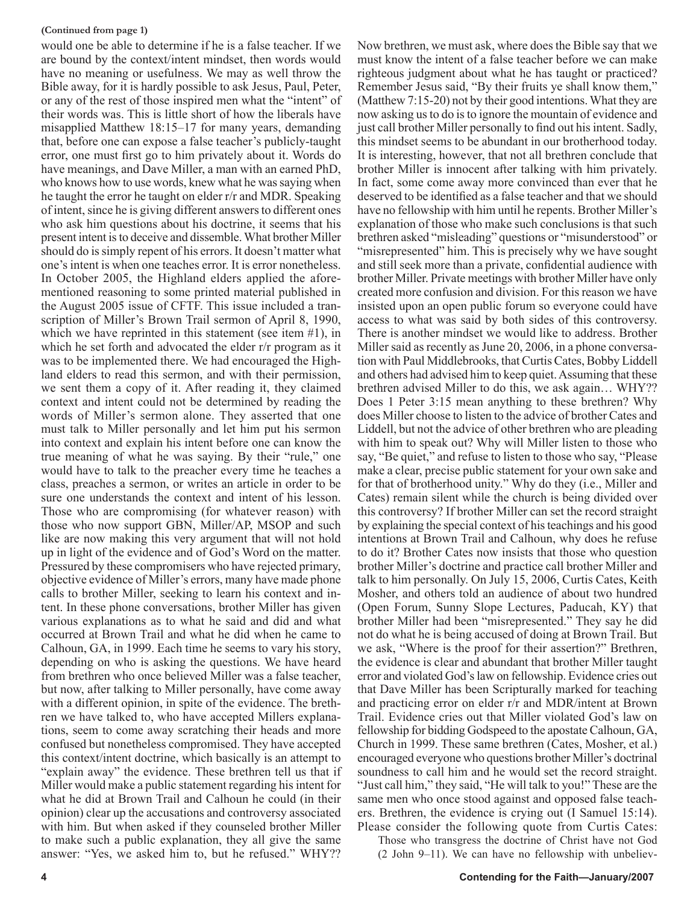#### **(Continued from page 1)**

would one be able to determine if he is a false teacher. If we are bound by the context/intent mindset, then words would have no meaning or usefulness. We may as well throw the Bible away, for it is hardly possible to ask Jesus, Paul, Peter, or any of the rest of those inspired men what the "intent" of their words was. This is little short of how the liberals have misapplied Matthew 18:15–17 for many years, demanding that, before one can expose a false teacher's publicly-taught error, one must first go to him privately about it. Words do have meanings, and Dave Miller, a man with an earned PhD, who knows how to use words, knew what he was saying when he taught the error he taught on elder r/r and MDR. Speaking of intent, since he is giving different answers to different ones who ask him questions about his doctrine, it seems that his present intent is to deceive and dissemble. What brother Miller should do is simply repent of his errors. It doesn't matter what one's intent is when one teaches error. It is error nonetheless. In October 2005, the Highland elders applied the aforementioned reasoning to some printed material published in the August 2005 issue of CFTF. This issue included a transcription of Miller's Brown Trail sermon of April 8, 1990, which we have reprinted in this statement (see item #1), in which he set forth and advocated the elder r/r program as it was to be implemented there. We had encouraged the Highland elders to read this sermon, and with their permission, we sent them a copy of it. After reading it, they claimed context and intent could not be determined by reading the words of Miller's sermon alone. They asserted that one must talk to Miller personally and let him put his sermon into context and explain his intent before one can know the true meaning of what he was saying. By their "rule," one would have to talk to the preacher every time he teaches a class, preaches a sermon, or writes an article in order to be sure one understands the context and intent of his lesson. Those who are compromising (for whatever reason) with those who now support GBN, Miller/AP, MSOP and such like are now making this very argument that will not hold up in light of the evidence and of God's Word on the matter. Pressured by these compromisers who have rejected primary, objective evidence of Miller's errors, many have made phone calls to brother Miller, seeking to learn his context and intent. In these phone conversations, brother Miller has given various explanations as to what he said and did and what occurred at Brown Trail and what he did when he came to Calhoun, GA, in 1999. Each time he seems to vary his story, depending on who is asking the questions. We have heard from brethren who once believed Miller was a false teacher, but now, after talking to Miller personally, have come away with a different opinion, in spite of the evidence. The brethren we have talked to, who have accepted Millers explanations, seem to come away scratching their heads and more confused but nonetheless compromised. They have accepted this context/intent doctrine, which basically is an attempt to "explain away" the evidence. These brethren tell us that if Miller would make a public statement regarding his intent for what he did at Brown Trail and Calhoun he could (in their opinion) clear up the accusations and controversy associated with him. But when asked if they counseled brother Miller to make such a public explanation, they all give the same answer: "Yes, we asked him to, but he refused." WHY??

Now brethren, we must ask, where does the Bible say that we must know the intent of a false teacher before we can make righteous judgment about what he has taught or practiced? Remember Jesus said, "By their fruits ye shall know them," (Matthew 7:15-20) not by their good intentions. What they are now asking us to do is to ignore the mountain of evidence and just call brother Miller personally to find out his intent. Sadly, this mindset seems to be abundant in our brotherhood today. It is interesting, however, that not all brethren conclude that brother Miller is innocent after talking with him privately. In fact, some come away more convinced than ever that he deserved to be identified as a false teacher and that we should have no fellowship with him until he repents. Brother Miller's explanation of those who make such conclusions is that such brethren asked "misleading" questions or "misunderstood" or "misrepresented" him. This is precisely why we have sought and still seek more than a private, confidential audience with brother Miller. Private meetings with brother Miller have only created more confusion and division. For this reason we have insisted upon an open public forum so everyone could have access to what was said by both sides of this controversy. There is another mindset we would like to address. Brother Miller said as recently as June 20, 2006, in a phone conversation with Paul Middlebrooks, that Curtis Cates, Bobby Liddell and others had advised him to keep quiet. Assuming that these brethren advised Miller to do this, we ask again… WHY?? Does 1 Peter 3:15 mean anything to these brethren? Why does Miller choose to listen to the advice of brother Cates and Liddell, but not the advice of other brethren who are pleading with him to speak out? Why will Miller listen to those who say, "Be quiet," and refuse to listen to those who say, "Please make a clear, precise public statement for your own sake and for that of brotherhood unity." Why do they (i.e., Miller and Cates) remain silent while the church is being divided over this controversy? If brother Miller can set the record straight by explaining the special context of his teachings and his good intentions at Brown Trail and Calhoun, why does he refuse to do it? Brother Cates now insists that those who question brother Miller's doctrine and practice call brother Miller and talk to him personally. On July 15, 2006, Curtis Cates, Keith Mosher, and others told an audience of about two hundred (Open Forum, Sunny Slope Lectures, Paducah, KY) that brother Miller had been "misrepresented." They say he did not do what he is being accused of doing at Brown Trail. But we ask, "Where is the proof for their assertion?" Brethren, the evidence is clear and abundant that brother Miller taught error and violated God's law on fellowship. Evidence cries out that Dave Miller has been Scripturally marked for teaching and practicing error on elder r/r and MDR/intent at Brown Trail. Evidence cries out that Miller violated God's law on fellowship for bidding Godspeed to the apostate Calhoun, GA, Church in 1999. These same brethren (Cates, Mosher, et al.) encouraged everyone who questions brother Miller's doctrinal soundness to call him and he would set the record straight. "Just call him," they said, "He will talk to you!" These are the same men who once stood against and opposed false teachers. Brethren, the evidence is crying out (I Samuel 15:14).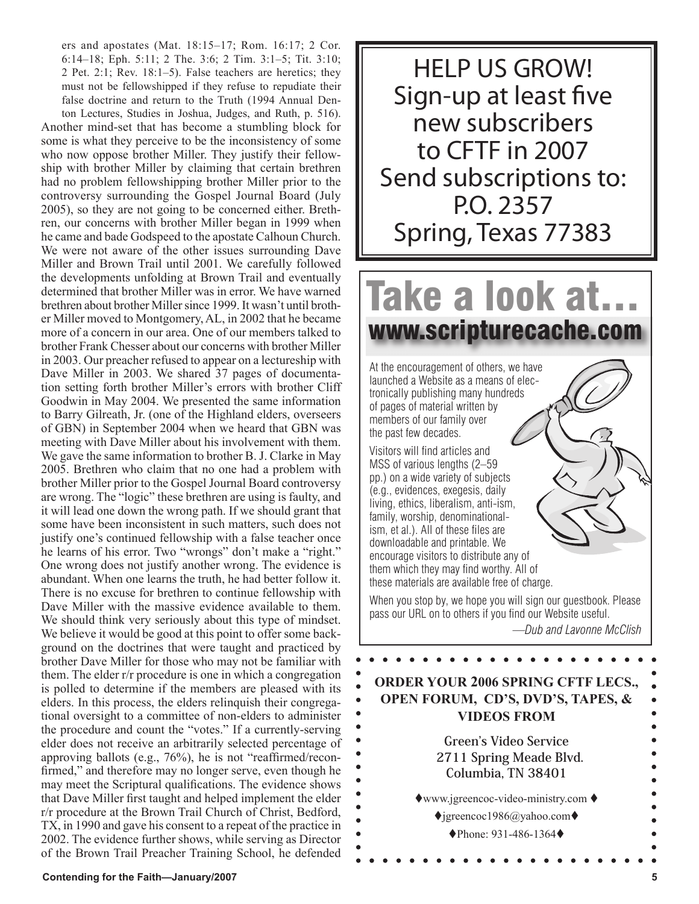ers and apostates (Mat. 18:15–17; Rom. 16:17; 2 Cor. 6:14–18; Eph. 5:11; 2 The. 3:6; 2 Tim. 3:1–5; Tit. 3:10; 2 Pet. 2:1; Rev. 18:1–5). False teachers are heretics; they must not be fellowshipped if they refuse to repudiate their false doctrine and return to the Truth (1994 Annual Den-

ton Lectures, Studies in Joshua, Judges, and Ruth, p. 516). Another mind-set that has become a stumbling block for some is what they perceive to be the inconsistency of some who now oppose brother Miller. They justify their fellowship with brother Miller by claiming that certain brethren had no problem fellowshipping brother Miller prior to the controversy surrounding the Gospel Journal Board (July 2005), so they are not going to be concerned either. Brethren, our concerns with brother Miller began in 1999 when he came and bade Godspeed to the apostate Calhoun Church. We were not aware of the other issues surrounding Dave Miller and Brown Trail until 2001. We carefully followed the developments unfolding at Brown Trail and eventually determined that brother Miller was in error. We have warned brethren about brother Miller since 1999. It wasn't until brother Miller moved to Montgomery, AL, in 2002 that he became more of a concern in our area. One of our members talked to brother Frank Chesser about our concerns with brother Miller in 2003. Our preacher refused to appear on a lectureship with Dave Miller in 2003. We shared 37 pages of documentation setting forth brother Miller's errors with brother Cliff Goodwin in May 2004. We presented the same information to Barry Gilreath, Jr. (one of the Highland elders, overseers of GBN) in September 2004 when we heard that GBN was meeting with Dave Miller about his involvement with them. We gave the same information to brother B. J. Clarke in May 2005. Brethren who claim that no one had a problem with brother Miller prior to the Gospel Journal Board controversy are wrong. The "logic" these brethren are using is faulty, and it will lead one down the wrong path. If we should grant that some have been inconsistent in such matters, such does not justify one's continued fellowship with a false teacher once he learns of his error. Two "wrongs" don't make a "right." One wrong does not justify another wrong. The evidence is abundant. When one learns the truth, he had better follow it. There is no excuse for brethren to continue fellowship with Dave Miller with the massive evidence available to them. We should think very seriously about this type of mindset. We believe it would be good at this point to offer some background on the doctrines that were taught and practiced by brother Dave Miller for those who may not be familiar with them. The elder r/r procedure is one in which a congregation is polled to determine if the members are pleased with its elders. In this process, the elders relinquish their congregational oversight to a committee of non-elders to administer the procedure and count the "votes." If a currently-serving elder does not receive an arbitrarily selected percentage of approving ballots (e.g., 76%), he is not "reaffirmed/reconfirmed," and therefore may no longer serve, even though he may meet the Scriptural qualifications. The evidence shows that Dave Miller first taught and helped implement the elder r/r procedure at the Brown Trail Church of Christ, Bedford, TX, in 1990 and gave his consent to a repeat of the practice in 2002. The evidence further shows, while serving as Director of the Brown Trail Preacher Training School, he defended

HELP US GROW! Sign-up at least five new subscribers to CFTF in 2007 Send subscriptions to: P.O. 2357 Spring, Texas 77383

# Take a look at… www.scripturecache.com

At the encouragement of others, we have launched a Website as a means of electronically publishing many hundreds of pages of material written by members of our family over the past few decades.

Visitors will find articles and MSS of various lengths (2–59 pp.) on a wide variety of subjects (e.g., evidences, exegesis, daily living, ethics, liberalism, anti-ism, family, worship, denominationalism, et al.). All of these files are downloadable and printable. We encourage visitors to distribute any of them which they may find worthy. All of these materials are available free of charge.

When you stop by, we hope you will sign our guestbook. Please pass our URL on to others if you find our Website useful.

*—Dub and Lavonne McClish*

# **ORDER YOUR 2006 SPRING CFTF LECS., OPEN FORUM, CD'S, DVD'S, TAPES, & VIDEOS FROM**

**Green's Video Service 2711 Spring Meade Blvd. Columbia, TN 38401**  $\triangle$ www.jgreencoc-video-ministry.com  $\triangle$  $\bigcirc$ igreencoc1986@yahoo.com $\bigcirc$ ◆Phone: 931-486-1364◆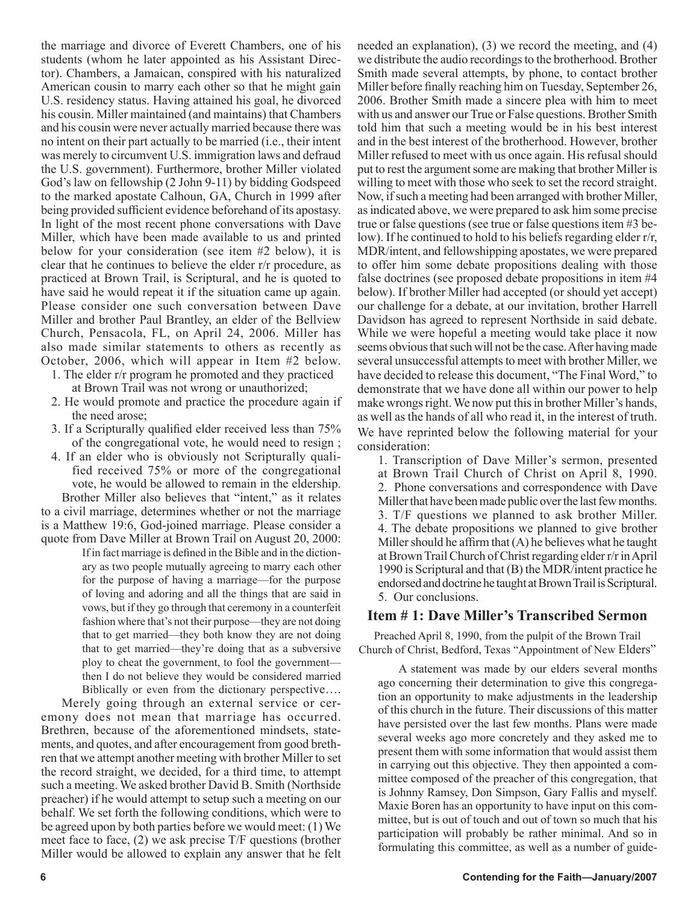the marriage and divorce of Everett Chambers, one of his students (whom he later appointed as his Assistant Director). Chambers, a Jamaican, conspired with his naturalized American cousin to marry each other so that he might gain U.S. residency status. Having attained his goal, he divorced his cousin. Miller maintained (and maintains) that Chambers and his cousin were never actually married because there was no intent on their part actually to be married (i.e., their intent was merely to circumvent U.S. immigration laws and defraud the U.S. government). Furthermore, brother Miller violated God's law on fellowship (2 John 9-11) by bidding Godspeed to the marked apostate Calhoun, GA, Church in 1999 after being provided sufficient evidence beforehand of its apostasy. In light of the most recent phone conversations with Dave Miller, which have been made available to us and printed below for your consideration (see item #2 below), it is clear that he continues to believe the elder r/r procedure, as practiced at Brown Trail, is Scriptural, and he is quoted to have said he would repeat it if the situation came up again. Please consider one such conversation between Dave Miller and brother Paul Brantley, an elder of the Bellview Church, Pensacola, FL, on April 24, 2006. Miller has also made similar statements to others as recently as October, 2006, which will appear in Item #2 below.

- 1. The elder r/r program he promoted and they practiced at Brown Trail was not wrong or unauthorized;
- 2. He would promote and practice the procedure again if the need arose;
- 3. If a Scripturally qualified elder received less than 75% of the congregational vote, he would need to resign ;
- 4. If an elder who is obviously not Scripturally qualified received 75% or more of the congregational vote, he would be allowed to remain in the eldership. Brother Miller also believes that "intent," as it relates to a civil marriage, determines whether or not the marriage is a Matthew 19:6, God-joined marriage. Please consider a

quote from Dave Miller at Brown Trail on August 20, 2000: If in fact marriage is defined in the Bible and in the dictionary as two people mutually agreeing to marry each other for the purpose of having a marriage—for the purpose of loving and adoring and all the things that are said in vows, but if they go through that ceremony in a counterfeit fashion where that's not their purpose—they are not doing that to get married—they both know they are not doing that to get married—they're doing that as a subversive ploy to cheat the government, to fool the government then I do not believe they would be considered married Biblically or even from the dictionary perspective….

Merely going through an external service or ceremony does not mean that marriage has occurred. Brethren, because of the aforementioned mindsets, statements, and quotes, and after encouragement from good brethren that we attempt another meeting with brother Miller to set the record straight, we decided, for a third time, to attempt such a meeting. We asked brother David B. Smith (Northside preacher) if he would attempt to setup such a meeting on our behalf. We set forth the following conditions, which were to be agreed upon by both parties before we would meet: (1) We meet face to face, (2) we ask precise T/F questions (brother Miller would be allowed to explain any answer that he felt needed an explanation), (3) we record the meeting, and (4) we distribute the audio recordings to the brotherhood. Brother Smith made several attempts, by phone, to contact brother Miller before finally reaching him on Tuesday, September 26, 2006. Brother Smith made a sincere plea with him to meet with us and answer our True or False questions. Brother Smith told him that such a meeting would be in his best interest and in the best interest of the brotherhood. However, brother Miller refused to meet with us once again. His refusal should put to rest the argument some are making that brother Miller is willing to meet with those who seek to set the record straight. Now, if such a meeting had been arranged with brother Miller, as indicated above, we were prepared to ask him some precise true or false questions (see true or false questions item #3 below). If he continued to hold to his beliefs regarding elder r/r, MDR/intent, and fellowshipping apostates, we were prepared to offer him some debate propositions dealing with those false doctrines (see proposed debate propositions in item #4 below). If brother Miller had accepted (or should yet accept) our challenge for a debate, at our invitation, brother Harrell Davidson has agreed to represent Northside in said debate. While we were hopeful a meeting would take place it now seems obvious that such will not be the case. After having made several unsuccessful attempts to meet with brother Miller, we have decided to release this document, "The Final Word," to demonstrate that we have done all within our power to help make wrongs right. We now put this in brother Miller's hands, as well as the hands of all who read it, in the interest of truth. We have reprinted below the following material for your consideration:

1. Transcription of Dave Miller's sermon, presented at Brown Trail Church of Christ on April 8, 1990. 2. Phone conversations and correspondence with Dave Miller that have been made public over the last few months. 3. T/F questions we planned to ask brother Miller. 4. The debate propositions we planned to give brother Miller should he affirm that  $(A)$  he believes what he taught at Brown Trail Church of Christ regarding elder r/r in April 1990 is Scriptural and that (B) the MDR/intent practice he endorsed and doctrine he taught at Brown Trail is Scriptural. 5. Our conclusions.

# **Item # 1: Dave Miller's Transcribed Sermon**

Preached April 8, 1990, from the pulpit of the Brown Trail Church of Christ, Bedford, Texas "Appointment of New Elders"

A statement was made by our elders several months ago concerning their determination to give this congregation an opportunity to make adjustments in the leadership of this church in the future. Their discussions of this matter have persisted over the last few months. Plans were made several weeks ago more concretely and they asked me to present them with some information that would assist them in carrying out this objective. They then appointed a committee composed of the preacher of this congregation, that is Johnny Ramsey, Don Simpson, Gary Fallis and myself. Maxie Boren has an opportunity to have input on this committee, but is out of touch and out of town so much that his participation will probably be rather minimal. And so in formulating this committee, as well as a number of guide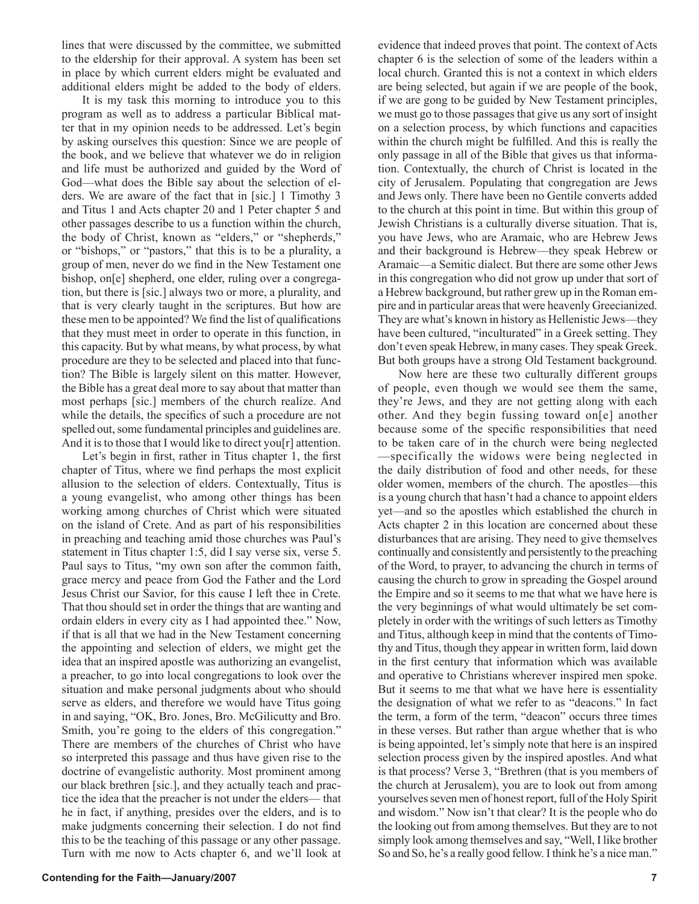lines that were discussed by the committee, we submitted to the eldership for their approval. A system has been set in place by which current elders might be evaluated and additional elders might be added to the body of elders.

It is my task this morning to introduce you to this program as well as to address a particular Biblical matter that in my opinion needs to be addressed. Let's begin by asking ourselves this question: Since we are people of the book, and we believe that whatever we do in religion and life must be authorized and guided by the Word of God—what does the Bible say about the selection of elders. We are aware of the fact that in [sic.] 1 Timothy 3 and Titus 1 and Acts chapter 20 and 1 Peter chapter 5 and other passages describe to us a function within the church, the body of Christ, known as "elders," or "shepherds," or "bishops," or "pastors," that this is to be a plurality, a group of men, never do we find in the New Testament one bishop, on[e] shepherd, one elder, ruling over a congregation, but there is [sic.] always two or more, a plurality, and that is very clearly taught in the scriptures. But how are these men to be appointed? We find the list of qualifications that they must meet in order to operate in this function, in this capacity. But by what means, by what process, by what procedure are they to be selected and placed into that function? The Bible is largely silent on this matter. However, the Bible has a great deal more to say about that matter than most perhaps [sic.] members of the church realize. And while the details, the specifics of such a procedure are not spelled out, some fundamental principles and guidelines are. And it is to those that I would like to direct you<sup>[r]</sup> attention.

Let's begin in first, rather in Titus chapter 1, the first chapter of Titus, where we find perhaps the most explicit allusion to the selection of elders. Contextually, Titus is a young evangelist, who among other things has been working among churches of Christ which were situated on the island of Crete. And as part of his responsibilities in preaching and teaching amid those churches was Paul's statement in Titus chapter 1:5, did I say verse six, verse 5. Paul says to Titus, "my own son after the common faith, grace mercy and peace from God the Father and the Lord Jesus Christ our Savior, for this cause I left thee in Crete. That thou should set in order the things that are wanting and ordain elders in every city as I had appointed thee." Now, if that is all that we had in the New Testament concerning the appointing and selection of elders, we might get the idea that an inspired apostle was authorizing an evangelist, a preacher, to go into local congregations to look over the situation and make personal judgments about who should serve as elders, and therefore we would have Titus going in and saying, "OK, Bro. Jones, Bro. McGilicutty and Bro. Smith, you're going to the elders of this congregation." There are members of the churches of Christ who have so interpreted this passage and thus have given rise to the doctrine of evangelistic authority. Most prominent among our black brethren [sic.], and they actually teach and practice the idea that the preacher is not under the elders— that he in fact, if anything, presides over the elders, and is to make judgments concerning their selection. I do not find this to be the teaching of this passage or any other passage. Turn with me now to Acts chapter 6, and we'll look at evidence that indeed proves that point. The context of Acts chapter 6 is the selection of some of the leaders within a local church. Granted this is not a context in which elders are being selected, but again if we are people of the book, if we are gong to be guided by New Testament principles, we must go to those passages that give us any sort of insight on a selection process, by which functions and capacities within the church might be fulfilled. And this is really the only passage in all of the Bible that gives us that information. Contextually, the church of Christ is located in the city of Jerusalem. Populating that congregation are Jews and Jews only. There have been no Gentile converts added to the church at this point in time. But within this group of Jewish Christians is a culturally diverse situation. That is, you have Jews, who are Aramaic, who are Hebrew Jews and their background is Hebrew—they speak Hebrew or Aramaic—a Semitic dialect. But there are some other Jews in this congregation who did not grow up under that sort of a Hebrew background, but rather grew up in the Roman empire and in particular areas that were heavenly Greecianized. They are what's known in history as Hellenistic Jews—they have been cultured, "inculturated" in a Greek setting. They don't even speak Hebrew, in many cases. They speak Greek. But both groups have a strong Old Testament background.

Now here are these two culturally different groups of people, even though we would see them the same, they're Jews, and they are not getting along with each other. And they begin fussing toward on[e] another because some of the specific responsibilities that need to be taken care of in the church were being neglected —specifically the widows were being neglected in the daily distribution of food and other needs, for these older women, members of the church. The apostles—this is a young church that hasn't had a chance to appoint elders yet—and so the apostles which established the church in Acts chapter 2 in this location are concerned about these disturbances that are arising. They need to give themselves continually and consistently and persistently to the preaching of the Word, to prayer, to advancing the church in terms of causing the church to grow in spreading the Gospel around the Empire and so it seems to me that what we have here is the very beginnings of what would ultimately be set completely in order with the writings of such letters as Timothy and Titus, although keep in mind that the contents of Timothy and Titus, though they appear in written form, laid down in the first century that information which was available and operative to Christians wherever inspired men spoke. But it seems to me that what we have here is essentiality the designation of what we refer to as "deacons." In fact the term, a form of the term, "deacon" occurs three times in these verses. But rather than argue whether that is who is being appointed, let's simply note that here is an inspired selection process given by the inspired apostles. And what is that process? Verse 3, "Brethren (that is you members of the church at Jerusalem), you are to look out from among yourselves seven men of honest report, full of the Holy Spirit and wisdom." Now isn't that clear? It is the people who do the looking out from among themselves. But they are to not simply look among themselves and say, "Well, I like brother So and So, he's a really good fellow. I think he's a nice man."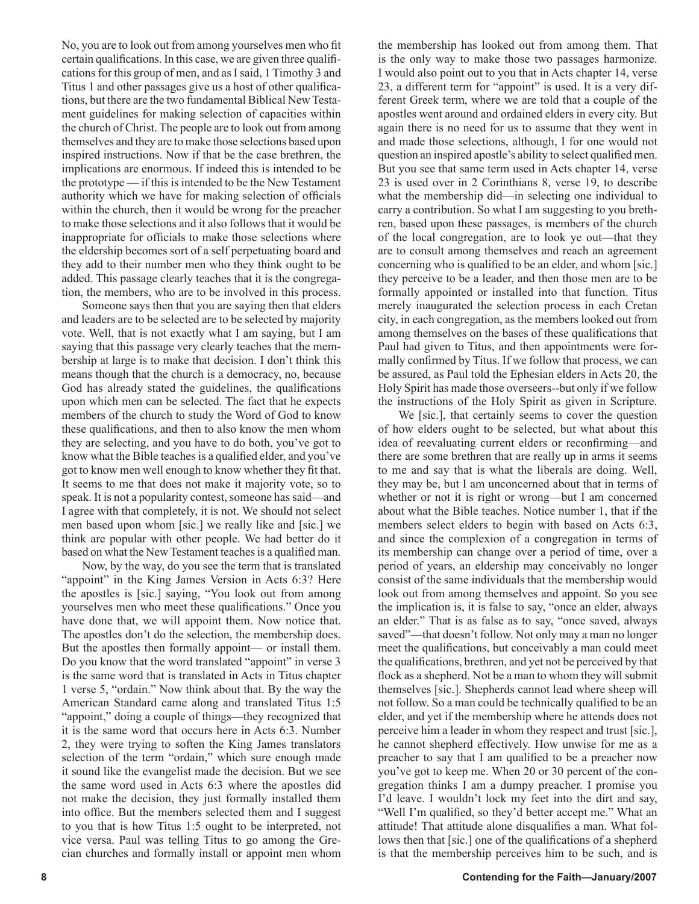No, you are to look out from among yourselves men who fit certain qualifications. In this case, we are given three qualifications for this group of men, and as I said, 1 Timothy 3 and Titus 1 and other passages give us a host of other qualifications, but there are the two fundamental Biblical New Testament guidelines for making selection of capacities within the church of Christ. The people are to look out from among themselves and they are to make those selections based upon inspired instructions. Now if that be the case brethren, the implications are enormous. If indeed this is intended to be the prototype — if this is intended to be the New Testament authority which we have for making selection of officials within the church, then it would be wrong for the preacher to make those selections and it also follows that it would be inappropriate for officials to make those selections where the eldership becomes sort of a self perpetuating board and they add to their number men who they think ought to be added. This passage clearly teaches that it is the congregation, the members, who are to be involved in this process.

Someone says then that you are saying then that elders and leaders are to be selected are to be selected by majority vote. Well, that is not exactly what I am saying, but I am saying that this passage very clearly teaches that the membership at large is to make that decision. I don't think this means though that the church is a democracy, no, because God has already stated the guidelines, the qualifications upon which men can be selected. The fact that he expects members of the church to study the Word of God to know these qualifications, and then to also know the men whom they are selecting, and you have to do both, you've got to know what the Bible teaches is a qualified elder, and you've got to know men well enough to know whether they fit that. It seems to me that does not make it majority vote, so to speak. It is not a popularity contest, someone has said—and I agree with that completely, it is not. We should not select men based upon whom [sic.] we really like and [sic.] we think are popular with other people. We had better do it based on what the New Testament teaches is a qualified man.

Now, by the way, do you see the term that is translated "appoint" in the King James Version in Acts 6:3? Here the apostles is [sic.] saying, "You look out from among yourselves men who meet these qualifications." Once you have done that, we will appoint them. Now notice that. The apostles don't do the selection, the membership does. But the apostles then formally appoint— or install them. Do you know that the word translated "appoint" in verse 3 is the same word that is translated in Acts in Titus chapter 1 verse 5, "ordain." Now think about that. By the way the American Standard came along and translated Titus 1:5 "appoint," doing a couple of things—they recognized that it is the same word that occurs here in Acts 6:3. Number 2, they were trying to soften the King James translators selection of the term "ordain," which sure enough made it sound like the evangelist made the decision. But we see the same word used in Acts 6:3 where the apostles did not make the decision, they just formally installed them into office. But the members selected them and I suggest to you that is how Titus 1:5 ought to be interpreted, not vice versa. Paul was telling Titus to go among the Grecian churches and formally install or appoint men whom the membership has looked out from among them. That is the only way to make those two passages harmonize. I would also point out to you that in Acts chapter 14, verse 23, a different term for "appoint" is used. It is a very different Greek term, where we are told that a couple of the apostles went around and ordained elders in every city. But again there is no need for us to assume that they went in and made those selections, although, I for one would not question an inspired apostle's ability to select qualified men. But you see that same term used in Acts chapter 14, verse 23 is used over in 2 Corinthians 8, verse 19, to describe what the membership did—in selecting one individual to carry a contribution. So what I am suggesting to you brethren, based upon these passages, is members of the church of the local congregation, are to look ye out—that they are to consult among themselves and reach an agreement concerning who is qualified to be an elder, and whom [sic.] they perceive to be a leader, and then those men are to be formally appointed or installed into that function. Titus merely inaugurated the selection process in each Cretan city, in each congregation, as the members looked out from among themselves on the bases of these qualifications that Paul had given to Titus, and then appointments were formally confirmed by Titus. If we follow that process, we can be assured, as Paul told the Ephesian elders in Acts 20, the Holy Spirit has made those overseers--but only if we follow the instructions of the Holy Spirit as given in Scripture.

We [sic.], that certainly seems to cover the question of how elders ought to be selected, but what about this idea of reevaluating current elders or reconfirming—and there are some brethren that are really up in arms it seems to me and say that is what the liberals are doing. Well, they may be, but I am unconcerned about that in terms of whether or not it is right or wrong—but I am concerned about what the Bible teaches. Notice number 1, that if the members select elders to begin with based on Acts 6:3, and since the complexion of a congregation in terms of its membership can change over a period of time, over a period of years, an eldership may conceivably no longer consist of the same individuals that the membership would look out from among themselves and appoint. So you see the implication is, it is false to say, "once an elder, always an elder." That is as false as to say, "once saved, always saved"—that doesn't follow. Not only may a man no longer meet the qualifications, but conceivably a man could meet the qualifications, brethren, and yet not be perceived by that flock as a shepherd. Not be a man to whom they will submit themselves [sic.]. Shepherds cannot lead where sheep will not follow. So a man could be technically qualified to be an elder, and yet if the membership where he attends does not perceive him a leader in whom they respect and trust [sic.], he cannot shepherd effectively. How unwise for me as a preacher to say that I am qualified to be a preacher now you've got to keep me. When 20 or 30 percent of the congregation thinks I am a dumpy preacher. I promise you I'd leave. I wouldn't lock my feet into the dirt and say, "Well I'm qualified, so they'd better accept me." What an attitude! That attitude alone disqualifies a man. What follows then that [sic.] one of the qualifications of a shepherd is that the membership perceives him to be such, and is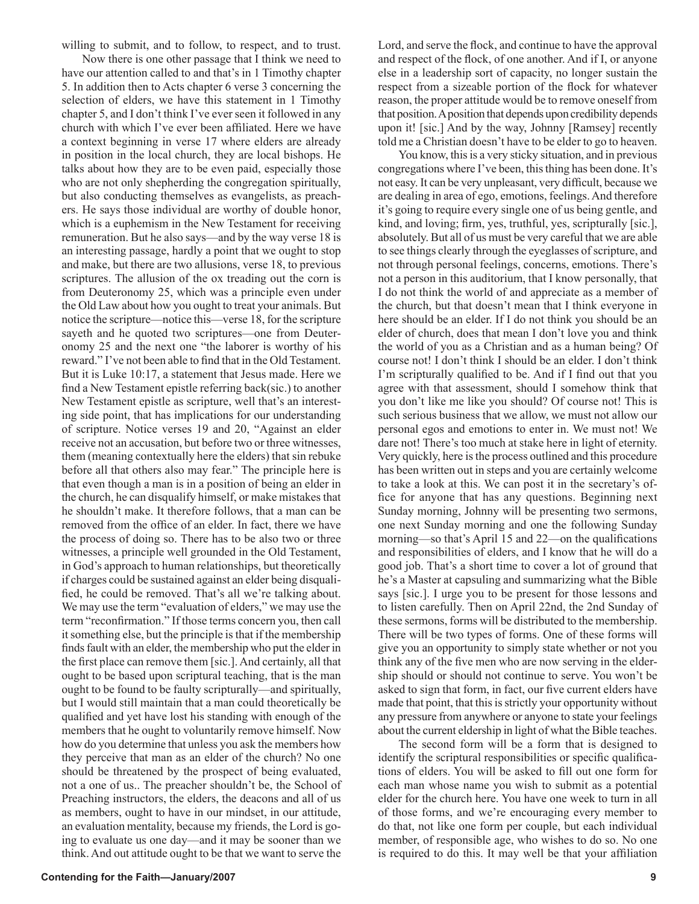willing to submit, and to follow, to respect, and to trust.

Now there is one other passage that I think we need to have our attention called to and that's in 1 Timothy chapter 5. In addition then to Acts chapter 6 verse 3 concerning the selection of elders, we have this statement in 1 Timothy chapter 5, and I don't think I've ever seen it followed in any church with which I've ever been affiliated. Here we have a context beginning in verse 17 where elders are already in position in the local church, they are local bishops. He talks about how they are to be even paid, especially those who are not only shepherding the congregation spiritually, but also conducting themselves as evangelists, as preachers. He says those individual are worthy of double honor, which is a euphemism in the New Testament for receiving remuneration. But he also says—and by the way verse 18 is an interesting passage, hardly a point that we ought to stop and make, but there are two allusions, verse 18, to previous scriptures. The allusion of the ox treading out the corn is from Deuteronomy 25, which was a principle even under the Old Law about how you ought to treat your animals. But notice the scripture—notice this—verse 18, for the scripture sayeth and he quoted two scriptures—one from Deuteronomy 25 and the next one "the laborer is worthy of his reward." I've not been able to find that in the Old Testament. But it is Luke 10:17, a statement that Jesus made. Here we find a New Testament epistle referring back(sic.) to another New Testament epistle as scripture, well that's an interesting side point, that has implications for our understanding of scripture. Notice verses 19 and 20, "Against an elder receive not an accusation, but before two or three witnesses, them (meaning contextually here the elders) that sin rebuke before all that others also may fear." The principle here is that even though a man is in a position of being an elder in the church, he can disqualify himself, or make mistakes that he shouldn't make. It therefore follows, that a man can be removed from the office of an elder. In fact, there we have the process of doing so. There has to be also two or three witnesses, a principle well grounded in the Old Testament, in God's approach to human relationships, but theoretically if charges could be sustained against an elder being disqualified, he could be removed. That's all we're talking about. We may use the term "evaluation of elders," we may use the term "reconfirmation." If those terms concern you, then call it something else, but the principle is that if the membership finds fault with an elder, the membership who put the elder in the first place can remove them [sic.]. And certainly, all that ought to be based upon scriptural teaching, that is the man ought to be found to be faulty scripturally—and spiritually, but I would still maintain that a man could theoretically be qualified and yet have lost his standing with enough of the members that he ought to voluntarily remove himself. Now how do you determine that unless you ask the members how they perceive that man as an elder of the church? No one should be threatened by the prospect of being evaluated, not a one of us.. The preacher shouldn't be, the School of Preaching instructors, the elders, the deacons and all of us as members, ought to have in our mindset, in our attitude, an evaluation mentality, because my friends, the Lord is going to evaluate us one day—and it may be sooner than we think. And out attitude ought to be that we want to serve the Lord, and serve the flock, and continue to have the approval and respect of the flock, of one another. And if I, or anyone else in a leadership sort of capacity, no longer sustain the respect from a sizeable portion of the flock for whatever reason, the proper attitude would be to remove oneself from that position. A position that depends upon credibility depends upon it! [sic.] And by the way, Johnny [Ramsey] recently told me a Christian doesn't have to be elder to go to heaven.

You know, this is a very sticky situation, and in previous congregations where I've been, this thing has been done. It's not easy. It can be very unpleasant, very difficult, because we are dealing in area of ego, emotions, feelings. And therefore it's going to require every single one of us being gentle, and kind, and loving; firm, yes, truthful, yes, scripturally [sic.], absolutely. But all of us must be very careful that we are able to see things clearly through the eyeglasses of scripture, and not through personal feelings, concerns, emotions. There's not a person in this auditorium, that I know personally, that I do not think the world of and appreciate as a member of the church, but that doesn't mean that I think everyone in here should be an elder. If I do not think you should be an elder of church, does that mean I don't love you and think the world of you as a Christian and as a human being? Of course not! I don't think I should be an elder. I don't think I'm scripturally qualified to be. And if I find out that you agree with that assessment, should I somehow think that you don't like me like you should? Of course not! This is such serious business that we allow, we must not allow our personal egos and emotions to enter in. We must not! We dare not! There's too much at stake here in light of eternity. Very quickly, here is the process outlined and this procedure has been written out in steps and you are certainly welcome to take a look at this. We can post it in the secretary's office for anyone that has any questions. Beginning next Sunday morning, Johnny will be presenting two sermons, one next Sunday morning and one the following Sunday morning—so that's April 15 and 22—on the qualifications and responsibilities of elders, and I know that he will do a good job. That's a short time to cover a lot of ground that he's a Master at capsuling and summarizing what the Bible says [sic.]. I urge you to be present for those lessons and to listen carefully. Then on April 22nd, the 2nd Sunday of these sermons, forms will be distributed to the membership. There will be two types of forms. One of these forms will give you an opportunity to simply state whether or not you think any of the five men who are now serving in the eldership should or should not continue to serve. You won't be asked to sign that form, in fact, our five current elders have made that point, that this is strictly your opportunity without any pressure from anywhere or anyone to state your feelings about the current eldership in light of what the Bible teaches.

The second form will be a form that is designed to identify the scriptural responsibilities or specific qualifications of elders. You will be asked to fill out one form for each man whose name you wish to submit as a potential elder for the church here. You have one week to turn in all of those forms, and we're encouraging every member to do that, not like one form per couple, but each individual member, of responsible age, who wishes to do so. No one is required to do this. It may well be that your affiliation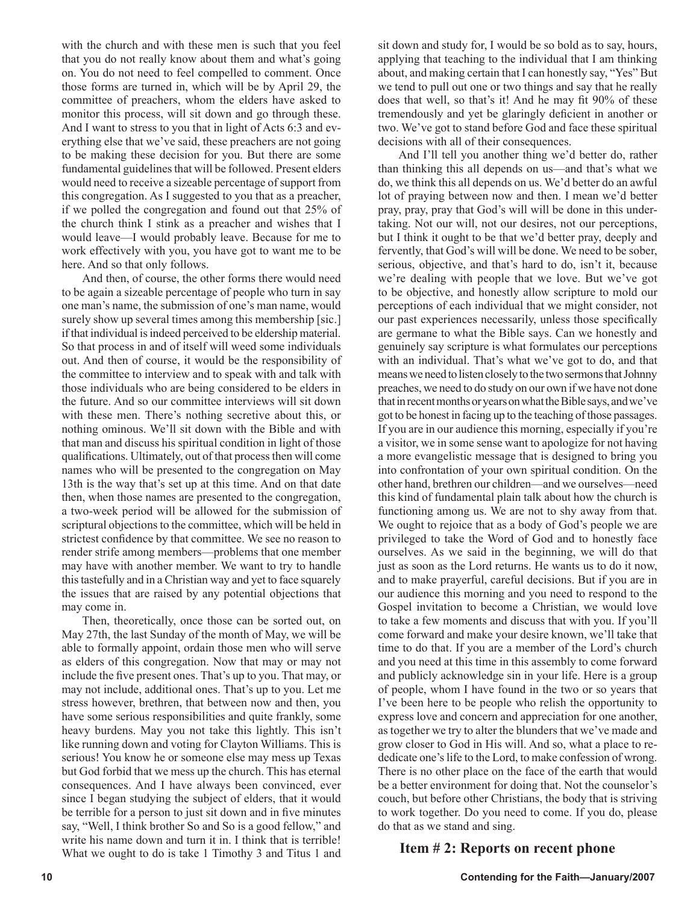with the church and with these men is such that you feel that you do not really know about them and what's going on. You do not need to feel compelled to comment. Once those forms are turned in, which will be by April 29, the committee of preachers, whom the elders have asked to monitor this process, will sit down and go through these. And I want to stress to you that in light of Acts 6:3 and everything else that we've said, these preachers are not going to be making these decision for you. But there are some fundamental guidelines that will be followed. Present elders would need to receive a sizeable percentage of support from this congregation. As I suggested to you that as a preacher, if we polled the congregation and found out that 25% of the church think I stink as a preacher and wishes that I would leave—I would probably leave. Because for me to work effectively with you, you have got to want me to be here. And so that only follows.

And then, of course, the other forms there would need to be again a sizeable percentage of people who turn in say one man's name, the submission of one's man name, would surely show up several times among this membership [sic.] if that individual is indeed perceived to be eldership material. So that process in and of itself will weed some individuals out. And then of course, it would be the responsibility of the committee to interview and to speak with and talk with those individuals who are being considered to be elders in the future. And so our committee interviews will sit down with these men. There's nothing secretive about this, or nothing ominous. We'll sit down with the Bible and with that man and discuss his spiritual condition in light of those qualifications. Ultimately, out of that process then will come names who will be presented to the congregation on May 13th is the way that's set up at this time. And on that date then, when those names are presented to the congregation, a two-week period will be allowed for the submission of scriptural objections to the committee, which will be held in strictest confidence by that committee. We see no reason to render strife among members—problems that one member may have with another member. We want to try to handle this tastefully and in a Christian way and yet to face squarely the issues that are raised by any potential objections that may come in.

Then, theoretically, once those can be sorted out, on May 27th, the last Sunday of the month of May, we will be able to formally appoint, ordain those men who will serve as elders of this congregation. Now that may or may not include the five present ones. That's up to you. That may, or may not include, additional ones. That's up to you. Let me stress however, brethren, that between now and then, you have some serious responsibilities and quite frankly, some heavy burdens. May you not take this lightly. This isn't like running down and voting for Clayton Williams. This is serious! You know he or someone else may mess up Texas but God forbid that we mess up the church. This has eternal consequences. And I have always been convinced, ever since I began studying the subject of elders, that it would be terrible for a person to just sit down and in five minutes say, "Well, I think brother So and So is a good fellow," and write his name down and turn it in. I think that is terrible! What we ought to do is take 1 Timothy 3 and Titus 1 and sit down and study for, I would be so bold as to say, hours, applying that teaching to the individual that I am thinking about, and making certain that I can honestly say, "Yes" But we tend to pull out one or two things and say that he really does that well, so that's it! And he may fit 90% of these tremendously and yet be glaringly deficient in another or two. We've got to stand before God and face these spiritual decisions with all of their consequences.

And I'll tell you another thing we'd better do, rather than thinking this all depends on us—and that's what we do, we think this all depends on us. We'd better do an awful lot of praying between now and then. I mean we'd better pray, pray, pray that God's will will be done in this undertaking. Not our will, not our desires, not our perceptions, but I think it ought to be that we'd better pray, deeply and fervently, that God's will will be done. We need to be sober, serious, objective, and that's hard to do, isn't it, because we're dealing with people that we love. But we've got to be objective, and honestly allow scripture to mold our perceptions of each individual that we might consider, not our past experiences necessarily, unless those specifically are germane to what the Bible says. Can we honestly and genuinely say scripture is what formulates our perceptions with an individual. That's what we've got to do, and that means we need to listen closely to the two sermons that Johnny preaches, we need to do study on our own if we have not done that in recent months or years on what the Bible says, and we've got to be honest in facing up to the teaching of those passages. If you are in our audience this morning, especially if you're a visitor, we in some sense want to apologize for not having a more evangelistic message that is designed to bring you into confrontation of your own spiritual condition. On the other hand, brethren our children—and we ourselves—need this kind of fundamental plain talk about how the church is functioning among us. We are not to shy away from that. We ought to rejoice that as a body of God's people we are privileged to take the Word of God and to honestly face ourselves. As we said in the beginning, we will do that just as soon as the Lord returns. He wants us to do it now, and to make prayerful, careful decisions. But if you are in our audience this morning and you need to respond to the Gospel invitation to become a Christian, we would love to take a few moments and discuss that with you. If you'll come forward and make your desire known, we'll take that time to do that. If you are a member of the Lord's church and you need at this time in this assembly to come forward and publicly acknowledge sin in your life. Here is a group of people, whom I have found in the two or so years that I've been here to be people who relish the opportunity to express love and concern and appreciation for one another, as together we try to alter the blunders that we've made and grow closer to God in His will. And so, what a place to rededicate one's life to the Lord, to make confession of wrong. There is no other place on the face of the earth that would be a better environment for doing that. Not the counselor's couch, but before other Christians, the body that is striving to work together. Do you need to come. If you do, please do that as we stand and sing.

# **Item # 2: Reports on recent phone**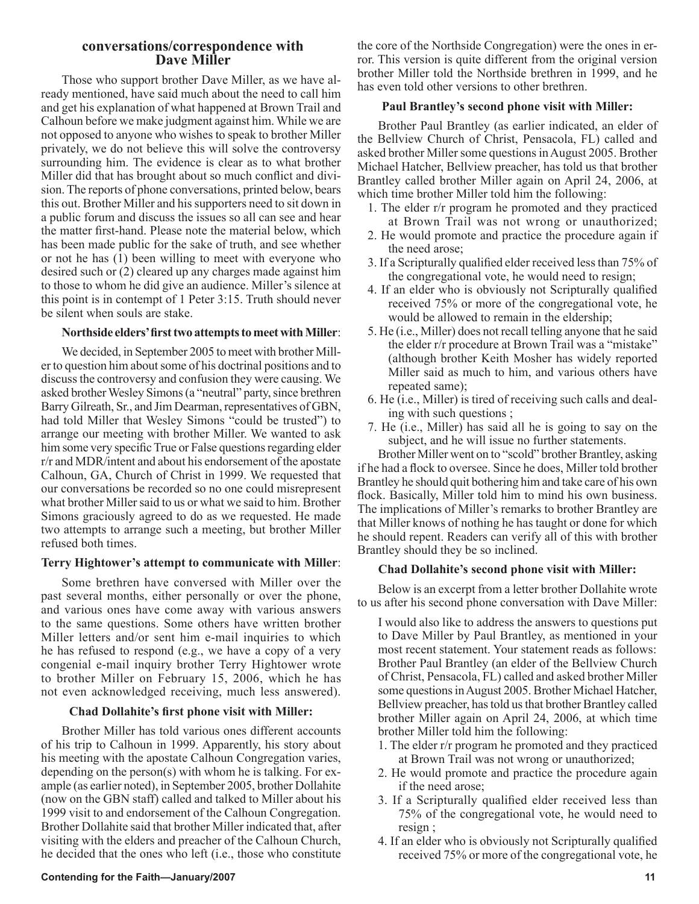## **conversations/correspondence with Dave Miller**

Those who support brother Dave Miller, as we have already mentioned, have said much about the need to call him and get his explanation of what happened at Brown Trail and Calhoun before we make judgment against him. While we are not opposed to anyone who wishes to speak to brother Miller privately, we do not believe this will solve the controversy surrounding him. The evidence is clear as to what brother Miller did that has brought about so much conflict and division. The reports of phone conversations, printed below, bears this out. Brother Miller and his supporters need to sit down in a public forum and discuss the issues so all can see and hear the matter first-hand. Please note the material below, which has been made public for the sake of truth, and see whether or not he has  $(1)$  been willing to meet with everyone who desired such or (2) cleared up any charges made against him to those to whom he did give an audience. Miller's silence at this point is in contempt of 1 Peter 3:15. Truth should never be silent when souls are stake.

#### **Northside elders' first two attempts to meet with Miller**:

We decided, in September 2005 to meet with brother Miller to question him about some of his doctrinal positions and to discuss the controversy and confusion they were causing. We asked brother Wesley Simons (a "neutral" party, since brethren Barry Gilreath, Sr., and Jim Dearman, representatives of GBN, had told Miller that Wesley Simons "could be trusted") to arrange our meeting with brother Miller. We wanted to ask him some very specific True or False questions regarding elder r/r and MDR/intent and about his endorsement of the apostate Calhoun, GA, Church of Christ in 1999. We requested that our conversations be recorded so no one could misrepresent what brother Miller said to us or what we said to him. Brother Simons graciously agreed to do as we requested. He made two attempts to arrange such a meeting, but brother Miller refused both times.

## **Terry Hightower's attempt to communicate with Miller**:

Some brethren have conversed with Miller over the past several months, either personally or over the phone, and various ones have come away with various answers to the same questions. Some others have written brother Miller letters and/or sent him e-mail inquiries to which he has refused to respond (e.g., we have a copy of a very congenial e-mail inquiry brother Terry Hightower wrote to brother Miller on February 15, 2006, which he has not even acknowledged receiving, much less answered).

## **Chad Dollahite's first phone visit with Miller:**

Brother Miller has told various ones different accounts of his trip to Calhoun in 1999. Apparently, his story about his meeting with the apostate Calhoun Congregation varies, depending on the person(s) with whom he is talking. For example (as earlier noted), in September 2005, brother Dollahite (now on the GBN staff) called and talked to Miller about his 1999 visit to and endorsement of the Calhoun Congregation. Brother Dollahite said that brother Miller indicated that, after visiting with the elders and preacher of the Calhoun Church, he decided that the ones who left (i.e., those who constitute

#### **Contending for the Faith—January/2007** 11

the core of the Northside Congregation) were the ones in error. This version is quite different from the original version brother Miller told the Northside brethren in 1999, and he has even told other versions to other brethren.

#### **Paul Brantley's second phone visit with Miller:**

Brother Paul Brantley (as earlier indicated, an elder of the Bellview Church of Christ, Pensacola, FL) called and asked brother Miller some questions in August 2005. Brother Michael Hatcher, Bellview preacher, has told us that brother Brantley called brother Miller again on April 24, 2006, at which time brother Miller told him the following:

- 1. The elder r/r program he promoted and they practiced at Brown Trail was not wrong or unauthorized;
- 2. He would promote and practice the procedure again if the need arose;
- 3. If a Scripturally qualified elder received less than 75% of the congregational vote, he would need to resign;
- 4. If an elder who is obviously not Scripturally qualified received 75% or more of the congregational vote, he would be allowed to remain in the eldership;
- 5. He (i.e., Miller) does not recall telling anyone that he said the elder r/r procedure at Brown Trail was a "mistake" (although brother Keith Mosher has widely reported Miller said as much to him, and various others have repeated same);
- 6. He (i.e., Miller) is tired of receiving such calls and dealing with such questions ;
- 7. He (i.e., Miller) has said all he is going to say on the subject, and he will issue no further statements.

Brother Miller went on to "scold" brother Brantley, asking if he had a flock to oversee. Since he does, Miller told brother Brantley he should quit bothering him and take care of his own flock. Basically, Miller told him to mind his own business. The implications of Miller's remarks to brother Brantley are that Miller knows of nothing he has taught or done for which he should repent. Readers can verify all of this with brother Brantley should they be so inclined.

#### **Chad Dollahite's second phone visit with Miller:**

Below is an excerpt from a letter brother Dollahite wrote to us after his second phone conversation with Dave Miller:

I would also like to address the answers to questions put to Dave Miller by Paul Brantley, as mentioned in your most recent statement. Your statement reads as follows: Brother Paul Brantley (an elder of the Bellview Church of Christ, Pensacola, FL) called and asked brother Miller some questions in August 2005. Brother Michael Hatcher, Bellview preacher, has told us that brother Brantley called brother Miller again on April 24, 2006, at which time brother Miller told him the following:

- 1. The elder r/r program he promoted and they practiced at Brown Trail was not wrong or unauthorized;
- 2. He would promote and practice the procedure again if the need arose;
- 3. If a Scripturally qualified elder received less than 75% of the congregational vote, he would need to resign ;
- 4. If an elder who is obviously not Scripturally qualified received 75% or more of the congregational vote, he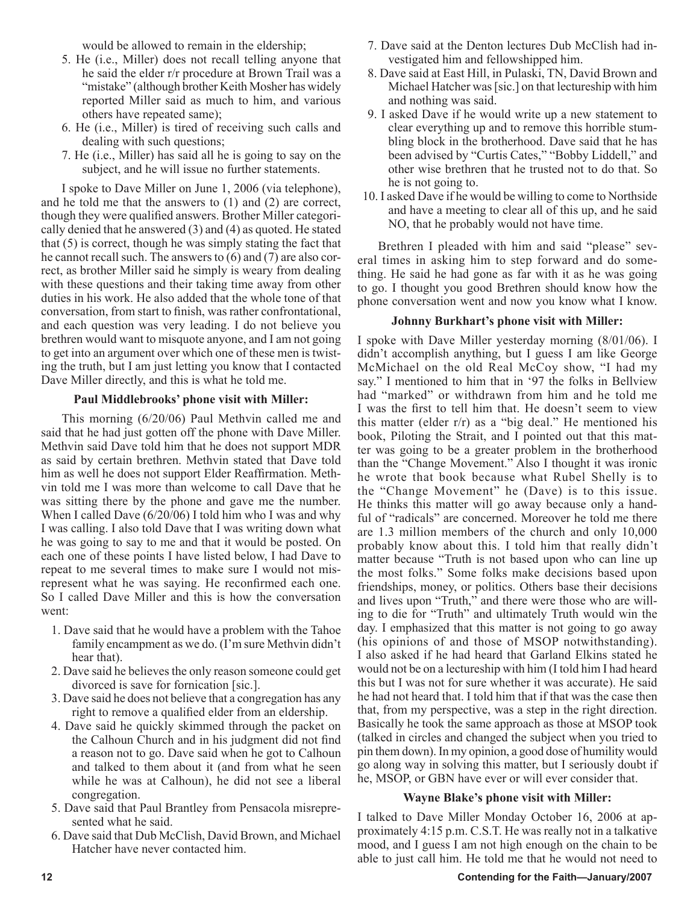would be allowed to remain in the eldership;

- 5. He (i.e., Miller) does not recall telling anyone that he said the elder r/r procedure at Brown Trail was a "mistake" (although brother Keith Mosher has widely reported Miller said as much to him, and various others have repeated same);
- 6. He (i.e., Miller) is tired of receiving such calls and dealing with such questions;
- 7. He (i.e., Miller) has said all he is going to say on the subject, and he will issue no further statements.

I spoke to Dave Miller on June 1, 2006 (via telephone), and he told me that the answers to (1) and (2) are correct, though they were qualified answers. Brother Miller categorically denied that he answered (3) and (4) as quoted. He stated that (5) is correct, though he was simply stating the fact that he cannot recall such. The answers to (6) and (7) are also correct, as brother Miller said he simply is weary from dealing with these questions and their taking time away from other duties in his work. He also added that the whole tone of that conversation, from start to finish, was rather confrontational, and each question was very leading. I do not believe you brethren would want to misquote anyone, and I am not going to get into an argument over which one of these men is twisting the truth, but I am just letting you know that I contacted Dave Miller directly, and this is what he told me.

#### **Paul Middlebrooks' phone visit with Miller:**

This morning (6/20/06) Paul Methvin called me and said that he had just gotten off the phone with Dave Miller. Methvin said Dave told him that he does not support MDR as said by certain brethren. Methvin stated that Dave told him as well he does not support Elder Reaffirmation. Methvin told me I was more than welcome to call Dave that he was sitting there by the phone and gave me the number. When I called Dave (6/20/06) I told him who I was and why I was calling. I also told Dave that I was writing down what he was going to say to me and that it would be posted. On each one of these points I have listed below, I had Dave to repeat to me several times to make sure I would not misrepresent what he was saying. He reconfirmed each one. So I called Dave Miller and this is how the conversation went:

- 1. Dave said that he would have a problem with the Tahoe family encampment as we do. (I'm sure Methvin didn't hear that).
- 2. Dave said he believes the only reason someone could get divorced is save for fornication [sic.].
- 3. Dave said he does not believe that a congregation has any right to remove a qualified elder from an eldership.
- 4. Dave said he quickly skimmed through the packet on the Calhoun Church and in his judgment did not find a reason not to go. Dave said when he got to Calhoun and talked to them about it (and from what he seen while he was at Calhoun), he did not see a liberal congregation.
- 5. Dave said that Paul Brantley from Pensacola misrepresented what he said.
- 6. Dave said that Dub McClish, David Brown, and Michael Hatcher have never contacted him.
- 7. Dave said at the Denton lectures Dub McClish had investigated him and fellowshipped him.
- 8. Dave said at East Hill, in Pulaski, TN, David Brown and Michael Hatcher was [sic.] on that lectureship with him and nothing was said.
- 9. I asked Dave if he would write up a new statement to clear everything up and to remove this horrible stumbling block in the brotherhood. Dave said that he has been advised by "Curtis Cates," "Bobby Liddell," and other wise brethren that he trusted not to do that. So he is not going to.
- 10. I asked Dave if he would be willing to come to Northside and have a meeting to clear all of this up, and he said NO, that he probably would not have time.

Brethren I pleaded with him and said "please" several times in asking him to step forward and do something. He said he had gone as far with it as he was going to go. I thought you good Brethren should know how the phone conversation went and now you know what I know.

#### **Johnny Burkhart's phone visit with Miller:**

I spoke with Dave Miller yesterday morning (8/01/06). I didn't accomplish anything, but I guess I am like George McMichael on the old Real McCoy show, "I had my say." I mentioned to him that in '97 the folks in Bellview had "marked" or withdrawn from him and he told me I was the first to tell him that. He doesn't seem to view this matter (elder r/r) as a "big deal." He mentioned his book, Piloting the Strait, and I pointed out that this matter was going to be a greater problem in the brotherhood than the "Change Movement." Also I thought it was ironic he wrote that book because what Rubel Shelly is to the "Change Movement" he (Dave) is to this issue. He thinks this matter will go away because only a handful of "radicals" are concerned. Moreover he told me there are 1.3 million members of the church and only 10,000 probably know about this. I told him that really didn't matter because "Truth is not based upon who can line up the most folks." Some folks make decisions based upon friendships, money, or politics. Others base their decisions and lives upon "Truth," and there were those who are willing to die for "Truth" and ultimately Truth would win the day. I emphasized that this matter is not going to go away (his opinions of and those of MSOP notwithstanding). I also asked if he had heard that Garland Elkins stated he would not be on a lectureship with him (I told him I had heard this but I was not for sure whether it was accurate). He said he had not heard that. I told him that if that was the case then that, from my perspective, was a step in the right direction. Basically he took the same approach as those at MSOP took (talked in circles and changed the subject when you tried to pin them down). In my opinion, a good dose of humility would go along way in solving this matter, but I seriously doubt if he, MSOP, or GBN have ever or will ever consider that.

## **Wayne Blake's phone visit with Miller:**

I talked to Dave Miller Monday October 16, 2006 at approximately 4:15 p.m. C.S.T. He was really not in a talkative mood, and I guess I am not high enough on the chain to be able to just call him. He told me that he would not need to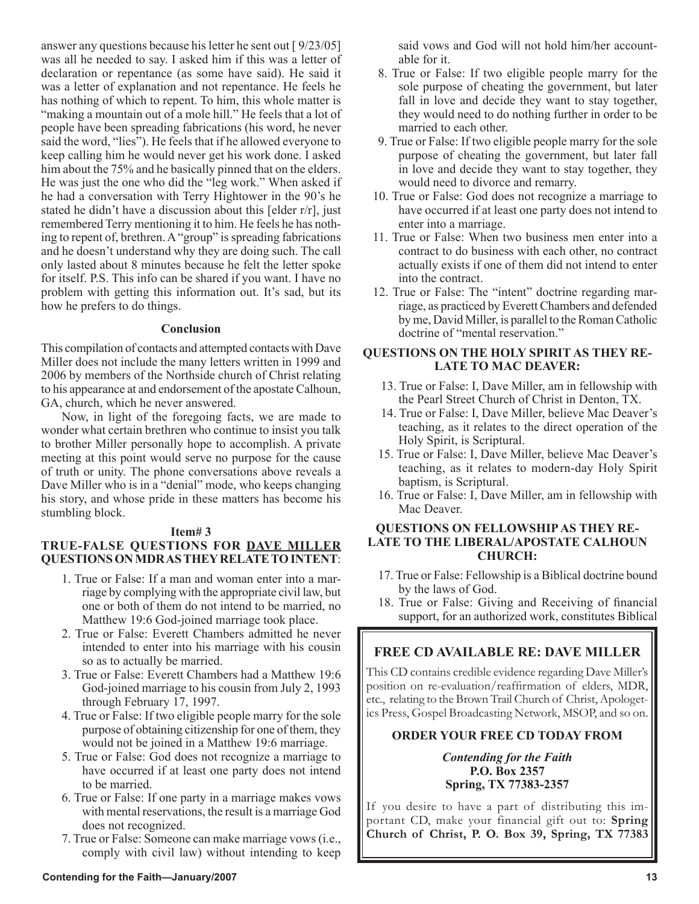answer any questions because his letter he sent out [ 9/23/05] was all he needed to say. I asked him if this was a letter of declaration or repentance (as some have said). He said it was a letter of explanation and not repentance. He feels he has nothing of which to repent. To him, this whole matter is "making a mountain out of a mole hill." He feels that a lot of people have been spreading fabrications (his word, he never said the word, "lies"). He feels that if he allowed everyone to keep calling him he would never get his work done. I asked him about the 75% and he basically pinned that on the elders. He was just the one who did the "leg work." When asked if he had a conversation with Terry Hightower in the 90's he stated he didn't have a discussion about this [elder r/r], just remembered Terry mentioning it to him. He feels he has nothing to repent of, brethren. A "group" is spreading fabrications and he doesn't understand why they are doing such. The call only lasted about 8 minutes because he felt the letter spoke for itself. P.S. This info can be shared if you want. I have no problem with getting this information out. It's sad, but its how he prefers to do things.

#### **Conclusion**

This compilation of contacts and attempted contacts with Dave Miller does not include the many letters written in 1999 and 2006 by members of the Northside church of Christ relating to his appearance at and endorsement of the apostate Calhoun, GA, church, which he never answered.

Now, in light of the foregoing facts, we are made to wonder what certain brethren who continue to insist you talk to brother Miller personally hope to accomplish. A private meeting at this point would serve no purpose for the cause of truth or unity. The phone conversations above reveals a Dave Miller who is in a "denial" mode, who keeps changing his story, and whose pride in these matters has become his stumbling block.

#### **Item# 3**

# **TRUE-FALSE QUESTIONS FOR DAVE MILLER QUESTIONS ON MDR AS THEY RELATE TO INTENT**:

- 1. True or False: If a man and woman enter into a marriage by complying with the appropriate civil law, but one or both of them do not intend to be married, no Matthew 19:6 God-joined marriage took place.
- 2. True or False: Everett Chambers admitted he never intended to enter into his marriage with his cousin so as to actually be married.
- 3. True or False: Everett Chambers had a Matthew 19:6 God-joined marriage to his cousin from July 2, 1993 through February 17, 1997.
- 4. True or False: If two eligible people marry for the sole purpose of obtaining citizenship for one of them, they would not be joined in a Matthew 19:6 marriage.
- 5. True or False: God does not recognize a marriage to have occurred if at least one party does not intend to be married.
- 6. True or False: If one party in a marriage makes vows with mental reservations, the result is a marriage God does not recognized.
- 7. True or False: Someone can make marriage vows (i.e., comply with civil law) without intending to keep

said vows and God will not hold him/her accountable for it.

- 8. True or False: If two eligible people marry for the sole purpose of cheating the government, but later fall in love and decide they want to stay together, they would need to do nothing further in order to be married to each other.
- 9. True or False: If two eligible people marry for the sole purpose of cheating the government, but later fall in love and decide they want to stay together, they would need to divorce and remarry.
- 10. True or False: God does not recognize a marriage to have occurred if at least one party does not intend to enter into a marriage.
- 11. True or False: When two business men enter into a contract to do business with each other, no contract actually exists if one of them did not intend to enter into the contract.
- 12. True or False: The "intent" doctrine regarding marriage, as practiced by Everett Chambers and defended by me, David Miller, is parallel to the Roman Catholic doctrine of "mental reservation."

## **QUESTIONS ON THE HOLY SPIRIT AS THEY RE-LATE TO MAC DEAVER:**

- 13. True or False: I, Dave Miller, am in fellowship with the Pearl Street Church of Christ in Denton, TX.
- 14. True or False: I, Dave Miller, believe Mac Deaver's teaching, as it relates to the direct operation of the Holy Spirit, is Scriptural.
- 15. True or False: I, Dave Miller, believe Mac Deaver's teaching, as it relates to modern-day Holy Spirit baptism, is Scriptural.
- 16. True or False: I, Dave Miller, am in fellowship with Mac Deaver.

## **QUESTIONS ON FELLOWSHIP AS THEY RE-LATE TO THE LIBERAL/APOSTATE CALHOUN CHURCH:**

- 17. True or False: Fellowship is a Biblical doctrine bound by the laws of God.
- 18. True or False: Giving and Receiving of financial support, for an authorized work, constitutes Biblical

# **FREE CD AVAILABLE RE: DAVE MILLER**

This CD contains credible evidence regarding Dave Miller's position on re-evaluation/reaffirmation of elders, MDR, etc., relating to the Brown Trail Church of Christ, Apologetics Press, Gospel Broadcasting Network, MSOP, and so on.

# **ORDER YOUR FREE CD TODAY FROM**

*Contending for the Faith* **P.O. Box 2357 Spring, TX 77383-2357** 

If you desire to have a part of distributing this important CD, make your financial gift out to: **Spring Church of Christ, P. O. Box 39, Spring, TX 77383**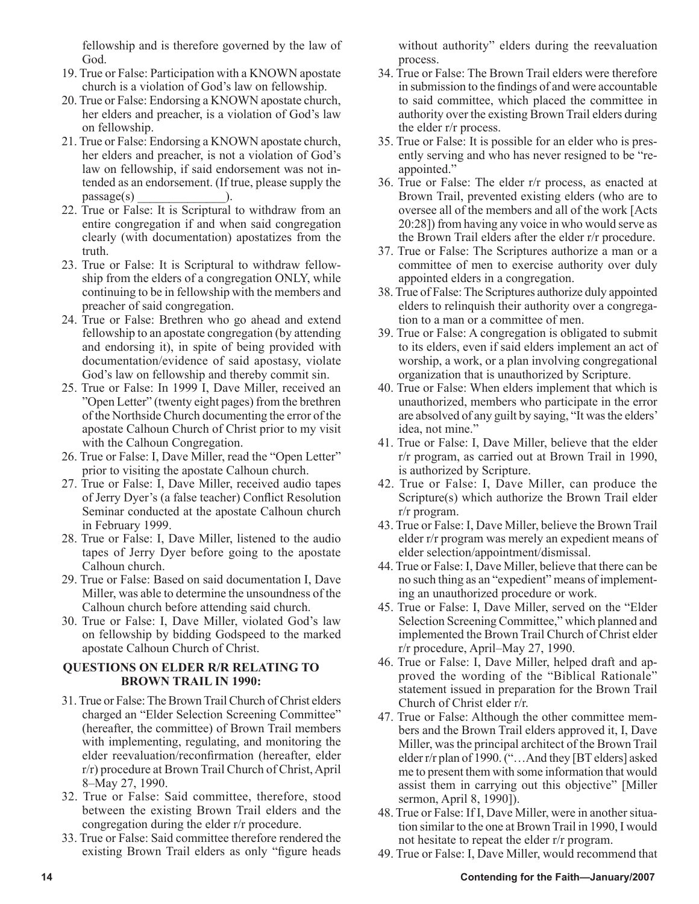fellowship and is therefore governed by the law of God.

- 19. True or False: Participation with a KNOWN apostate church is a violation of God's law on fellowship.
- 20. True or False: Endorsing a KNOWN apostate church, her elders and preacher, is a violation of God's law on fellowship.
- 21. True or False: Endorsing a KNOWN apostate church, her elders and preacher, is not a violation of God's law on fellowship, if said endorsement was not intended as an endorsement. (If true, please supply the  $passage(s)$  ).
- 22. True or False: It is Scriptural to withdraw from an entire congregation if and when said congregation clearly (with documentation) apostatizes from the truth.
- 23. True or False: It is Scriptural to withdraw fellowship from the elders of a congregation ONLY, while continuing to be in fellowship with the members and preacher of said congregation.
- 24. True or False: Brethren who go ahead and extend fellowship to an apostate congregation (by attending and endorsing it), in spite of being provided with documentation/evidence of said apostasy, violate God's law on fellowship and thereby commit sin.
- 25. True or False: In 1999 I, Dave Miller, received an "Open Letter" (twenty eight pages) from the brethren of the Northside Church documenting the error of the apostate Calhoun Church of Christ prior to my visit with the Calhoun Congregation.
- 26. True or False: I, Dave Miller, read the "Open Letter" prior to visiting the apostate Calhoun church.
- 27. True or False: I, Dave Miller, received audio tapes of Jerry Dyer's (a false teacher) Conflict Resolution Seminar conducted at the apostate Calhoun church in February 1999.
- 28. True or False: I, Dave Miller, listened to the audio tapes of Jerry Dyer before going to the apostate Calhoun church.
- 29. True or False: Based on said documentation I, Dave Miller, was able to determine the unsoundness of the Calhoun church before attending said church.
- 30. True or False: I, Dave Miller, violated God's law on fellowship by bidding Godspeed to the marked apostate Calhoun Church of Christ.

# **QUESTIONS ON ELDER R/R RELATING TO BROWN TRAIL IN 1990:**

- 31. True or False: The Brown Trail Church of Christ elders charged an "Elder Selection Screening Committee" (hereafter, the committee) of Brown Trail members with implementing, regulating, and monitoring the elder reevaluation/reconfirmation (hereafter, elder r/r) procedure at Brown Trail Church of Christ, April 8–May 27, 1990.
- 32. True or False: Said committee, therefore, stood between the existing Brown Trail elders and the congregation during the elder r/r procedure.
- 33. True or False: Said committee therefore rendered the existing Brown Trail elders as only "figure heads

without authority" elders during the reevaluation process.

- 34. True or False: The Brown Trail elders were therefore in submission to the findings of and were accountable to said committee, which placed the committee in authority over the existing Brown Trail elders during the elder r/r process.
- 35. True or False: It is possible for an elder who is presently serving and who has never resigned to be "reappointed."
- 36. True or False: The elder r/r process, as enacted at Brown Trail, prevented existing elders (who are to oversee all of the members and all of the work [Acts 20:28]) from having any voice in who would serve as the Brown Trail elders after the elder r/r procedure.
- 37. True or False: The Scriptures authorize a man or a committee of men to exercise authority over duly appointed elders in a congregation.
- 38. True of False: The Scriptures authorize duly appointed elders to relinquish their authority over a congregation to a man or a committee of men.
- 39. True or False: A congregation is obligated to submit to its elders, even if said elders implement an act of worship, a work, or a plan involving congregational organization that is unauthorized by Scripture.
- 40. True or False: When elders implement that which is unauthorized, members who participate in the error are absolved of any guilt by saying, "It was the elders' idea, not mine."
- 41. True or False: I, Dave Miller, believe that the elder r/r program, as carried out at Brown Trail in 1990, is authorized by Scripture.
- 42. True or False: I, Dave Miller, can produce the Scripture(s) which authorize the Brown Trail elder r/r program.
- 43. True or False: I, Dave Miller, believe the Brown Trail elder r/r program was merely an expedient means of elder selection/appointment/dismissal.
- 44. True or False: I, Dave Miller, believe that there can be no such thing as an "expedient" means of implementing an unauthorized procedure or work.
- 45. True or False: I, Dave Miller, served on the "Elder Selection Screening Committee," which planned and implemented the Brown Trail Church of Christ elder r/r procedure, April–May 27, 1990.
- 46. True or False: I, Dave Miller, helped draft and approved the wording of the "Biblical Rationale" statement issued in preparation for the Brown Trail Church of Christ elder r/r.
- 47. True or False: Although the other committee members and the Brown Trail elders approved it, I, Dave Miller, was the principal architect of the Brown Trail elder r/r plan of 1990. ("…And they [BT elders] asked me to present them with some information that would assist them in carrying out this objective" [Miller sermon, April 8, 1990]).
- 48. True or False: If I, Dave Miller, were in another situation similar to the one at Brown Trail in 1990, I would not hesitate to repeat the elder r/r program.
- 49. True or False: I, Dave Miller, would recommend that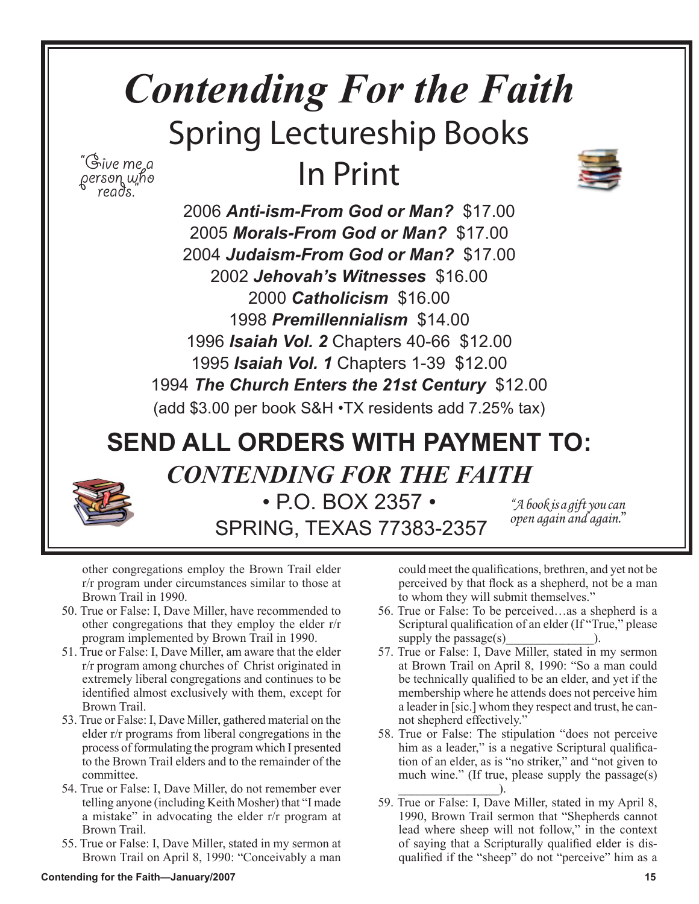# *Contending For the Faith* Spring Lectureship Books In Print "Give me a<br>person who<br>"reads."



*Anti-ism-From God or Man?* \$17.00 *Morals-From God or Man?* \$17.00  *Judaism-From God or Man?* \$17.00 *Jehovah's Witnesses* \$16.00 *Catholicism* \$16.00 *Premillennialism* \$14.00 *Isaiah Vol. 2* Chapters 40-66 \$12.00  *Isaiah Vol. 1* Chapters 1-39 \$12.00  *The Church Enters the 21st Century* \$12.00 (add \$3.00 per book S&H •TX residents add 7.25% tax)

# **SEND ALL ORDERS WITH PAYMENT TO:** *CONTENDING FOR THE FAITH*



• P.O. BOX 2357 • SPRING, TEXAS 77383-2357

"A book is a gift you can open again and again."

other congregations employ the Brown Trail elder r/r program under circumstances similar to those at Brown Trail in 1990.

- 50. True or False: I, Dave Miller, have recommended to other congregations that they employ the elder r/r program implemented by Brown Trail in 1990.
- 51. True or False: I, Dave Miller, am aware that the elder r/r program among churches of Christ originated in extremely liberal congregations and continues to be identified almost exclusively with them, except for Brown Trail.
- 53. True or False: I, Dave Miller, gathered material on the elder r/r programs from liberal congregations in the process of formulating the program which I presented to the Brown Trail elders and to the remainder of the committee.
- 54. True or False: I, Dave Miller, do not remember ever telling anyone (including Keith Mosher) that "I made a mistake" in advocating the elder r/r program at Brown Trail.
- 55. True or False: I, Dave Miller, stated in my sermon at Brown Trail on April 8, 1990: "Conceivably a man

could meet the qualifications, brethren, and yet not be perceived by that flock as a shepherd, not be a man to whom they will submit themselves."

- 56. True or False: To be perceived…as a shepherd is a Scriptural qualification of an elder (If "True," please supply the passage $(s)$ .
- 57. True or False: I, Dave Miller, stated in my sermon at Brown Trail on April 8, 1990: "So a man could be technically qualified to be an elder, and yet if the membership where he attends does not perceive him a leader in [sic.] whom they respect and trust, he cannot shepherd effectively."
- 58. True or False: The stipulation "does not perceive him as a leader," is a negative Scriptural qualification of an elder, as is "no striker," and "not given to much wine." (If true, please supply the passage(s)  $\qquad \qquad$  ).
- 59. True or False: I, Dave Miller, stated in my April 8, 1990, Brown Trail sermon that "Shepherds cannot lead where sheep will not follow," in the context of saying that a Scripturally qualified elder is disqualified if the "sheep" do not "perceive" him as a

## **Contending for the Faith—January/2007 15 and 2007 15 and 2008 15 and 2008 16 and 2008 16 and 2008 15 and 2008 15 and 2008 16 and 2008 16 and 2008 16 and 2008 16 and 2008 16 and 2008 16 and 2008 16 and 2008 16 and 2008 16**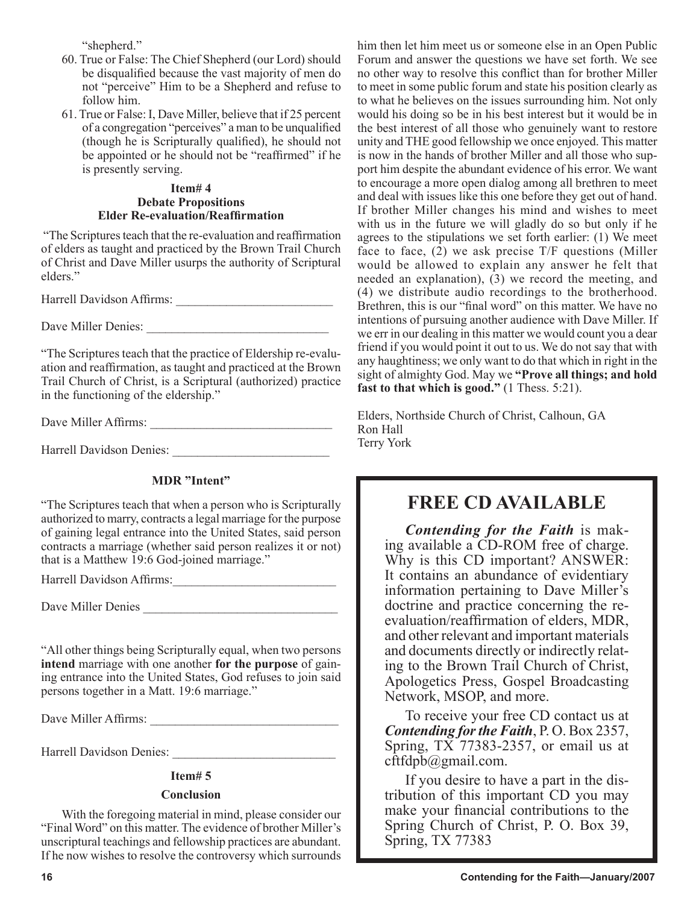"shepherd."

- 60. True or False: The Chief Shepherd (our Lord) should be disqualified because the vast majority of men do not "perceive" Him to be a Shepherd and refuse to follow him.
- 61. True or False: I, Dave Miller, believe that if 25 percent of a congregation "perceives" a man to be unqualified (though he is Scripturally qualified), he should not be appointed or he should not be "reaffirmed" if he is presently serving.

## **Item# 4 Debate Propositions Elder Re-evaluation/Reaffirmation**

 "The Scriptures teach that the re-evaluation and reaffirmation of elders as taught and practiced by the Brown Trail Church of Christ and Dave Miller usurps the authority of Scriptural elders."

Harrell Davidson Affirms: \_\_\_\_\_\_\_\_\_\_\_\_\_\_\_\_\_\_\_\_\_\_\_\_\_

Dave Miller Denies: \_\_\_\_\_\_\_\_\_\_\_\_\_\_\_\_\_\_\_\_\_\_\_\_\_\_\_\_\_

"The Scriptures teach that the practice of Eldership re-evaluation and reaffirmation, as taught and practiced at the Brown Trail Church of Christ, is a Scriptural (authorized) practice in the functioning of the eldership."

Dave Miller Affirms: \_\_\_\_\_\_\_\_\_\_\_\_\_\_\_\_\_\_\_\_\_\_\_\_\_\_\_\_\_

Harrell Davidson Denies:

# **MDR "Intent"**

"The Scriptures teach that when a person who is Scripturally authorized to marry, contracts a legal marriage for the purpose of gaining legal entrance into the United States, said person contracts a marriage (whether said person realizes it or not) that is a Matthew 19:6 God-joined marriage."

Harrell Davidson Affirms:\_\_\_\_\_\_\_\_\_\_\_\_\_\_\_\_\_\_\_\_\_\_\_\_\_\_

Dave Miller Denies \_\_\_\_\_\_\_\_\_\_\_\_\_\_\_\_\_\_\_\_\_\_\_\_\_\_\_\_\_\_\_

"All other things being Scripturally equal, when two persons **intend** marriage with one another **for the purpose** of gaining entrance into the United States, God refuses to join said persons together in a Matt. 19:6 marriage."

Dave Miller Affirms:

Harrell Davidson Denies: \_\_\_\_\_\_\_\_\_\_\_\_\_\_\_\_\_\_\_\_\_\_\_\_\_\_

## **Item# 5**

## **Conclusion**

With the foregoing material in mind, please consider our "Final Word" on this matter. The evidence of brother Miller's unscriptural teachings and fellowship practices are abundant. If he now wishes to resolve the controversy which surrounds him then let him meet us or someone else in an Open Public Forum and answer the questions we have set forth. We see no other way to resolve this conflict than for brother Miller to meet in some public forum and state his position clearly as to what he believes on the issues surrounding him. Not only would his doing so be in his best interest but it would be in the best interest of all those who genuinely want to restore unity and THE good fellowship we once enjoyed. This matter is now in the hands of brother Miller and all those who support him despite the abundant evidence of his error. We want to encourage a more open dialog among all brethren to meet and deal with issues like this one before they get out of hand. If brother Miller changes his mind and wishes to meet with us in the future we will gladly do so but only if he agrees to the stipulations we set forth earlier: (1) We meet face to face,  $(2)$  we ask precise T/F questions (Miller would be allowed to explain any answer he felt that needed an explanation),  $(3)$  we record the meeting, and (4) we distribute audio recordings to the brotherhood. Brethren, this is our "final word" on this matter. We have no intentions of pursuing another audience with Dave Miller. If we err in our dealing in this matter we would count you a dear friend if you would point it out to us. We do not say that with any haughtiness; we only want to do that which in right in the sight of almighty God. May we **"Prove all things; and hold fast to that which is good."** (1 Thess. 5:21).

Elders, Northside Church of Christ, Calhoun, GA Ron Hall Terry York

# **FREE CD AVAILABLE**

*Contending for the Faith* is making available a CD-ROM free of charge. Why is this CD important? ANSWER: It contains an abundance of evidentiary information pertaining to Dave Miller's doctrine and practice concerning the reevaluation/reaffirmation of elders, MDR, and other relevant and important materials and documents directly or indirectly relating to the Brown Trail Church of Christ, Apologetics Press, Gospel Broadcasting Network, MSOP, and more.

To receive your free CD contact us at *Contending for the Faith*, P. O. Box 2357, Spring, TX 77383-2357, or email us at cftfdpb@gmail.com.

If you desire to have a part in the distribution of this important CD you may make your financial contributions to the Spring Church of Christ, P. O. Box 39, Spring, TX 77383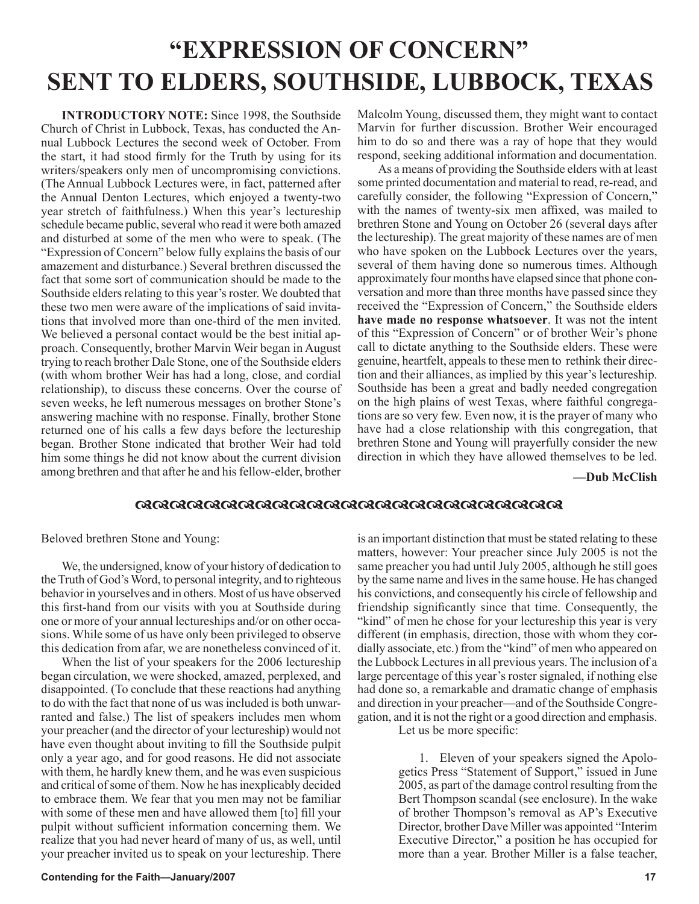# **"EXPRESSION OF CONCERN" SENT TO ELDERS, SOUTHSIDE, LUBBOCK, TEXAS**

**INTRODUCTORY NOTE:** Since 1998, the Southside Church of Christ in Lubbock, Texas, has conducted the Annual Lubbock Lectures the second week of October. From the start, it had stood firmly for the Truth by using for its writers/speakers only men of uncompromising convictions. (The Annual Lubbock Lectures were, in fact, patterned after the Annual Denton Lectures, which enjoyed a twenty-two year stretch of faithfulness.) When this year's lectureship schedule became public, several who read it were both amazed and disturbed at some of the men who were to speak. (The "Expression of Concern" below fully explains the basis of our amazement and disturbance.) Several brethren discussed the fact that some sort of communication should be made to the Southside elders relating to this year's roster. We doubted that these two men were aware of the implications of said invitations that involved more than one-third of the men invited. We believed a personal contact would be the best initial approach. Consequently, brother Marvin Weir began in August trying to reach brother Dale Stone, one of the Southside elders (with whom brother Weir has had a long, close, and cordial relationship), to discuss these concerns. Over the course of seven weeks, he left numerous messages on brother Stone's answering machine with no response. Finally, brother Stone returned one of his calls a few days before the lectureship began. Brother Stone indicated that brother Weir had told him some things he did not know about the current division among brethren and that after he and his fellow-elder, brother Malcolm Young, discussed them, they might want to contact Marvin for further discussion. Brother Weir encouraged him to do so and there was a ray of hope that they would respond, seeking additional information and documentation.

As a means of providing the Southside elders with at least some printed documentation and material to read, re-read, and carefully consider, the following "Expression of Concern," with the names of twenty-six men affixed, was mailed to brethren Stone and Young on October 26 (several days after the lectureship). The great majority of these names are of men who have spoken on the Lubbock Lectures over the years, several of them having done so numerous times. Although approximately four months have elapsed since that phone conversation and more than three months have passed since they received the "Expression of Concern," the Southside elders **have made no response whatsoever**. It was not the intent of this "Expression of Concern" or of brother Weir's phone call to dictate anything to the Southside elders. These were genuine, heartfelt, appeals to these men to rethink their direction and their alliances, as implied by this year's lectureship. Southside has been a great and badly needed congregation on the high plains of west Texas, where faithful congregations are so very few. Even now, it is the prayer of many who have had a close relationship with this congregation, that brethren Stone and Young will prayerfully consider the new direction in which they have allowed themselves to be led.

**—Dub McClish**

## 

Beloved brethren Stone and Young:

We, the undersigned, know of your history of dedication to the Truth of God's Word, to personal integrity, and to righteous behavior in yourselves and in others. Most of us have observed this first-hand from our visits with you at Southside during one or more of your annual lectureships and/or on other occasions. While some of us have only been privileged to observe this dedication from afar, we are nonetheless convinced of it.

When the list of your speakers for the 2006 lectureship began circulation, we were shocked, amazed, perplexed, and disappointed. (To conclude that these reactions had anything to do with the fact that none of us was included is both unwarranted and false.) The list of speakers includes men whom your preacher (and the director of your lectureship) would not have even thought about inviting to fill the Southside pulpit only a year ago, and for good reasons. He did not associate with them, he hardly knew them, and he was even suspicious and critical of some of them. Now he has inexplicably decided to embrace them. We fear that you men may not be familiar with some of these men and have allowed them [to] fill your pulpit without sufficient information concerning them. We realize that you had never heard of many of us, as well, until your preacher invited us to speak on your lectureship. There is an important distinction that must be stated relating to these matters, however: Your preacher since July 2005 is not the same preacher you had until July 2005, although he still goes by the same name and lives in the same house. He has changed his convictions, and consequently his circle of fellowship and friendship significantly since that time. Consequently, the "kind" of men he chose for your lectureship this year is very different (in emphasis, direction, those with whom they cordially associate, etc.) from the "kind" of men who appeared on the Lubbock Lectures in all previous years. The inclusion of a large percentage of this year's roster signaled, if nothing else had done so, a remarkable and dramatic change of emphasis and direction in your preacher—and of the Southside Congregation, and it is not the right or a good direction and emphasis.

Let us be more specific:

1. Eleven of your speakers signed the Apologetics Press "Statement of Support," issued in June 2005, as part of the damage control resulting from the Bert Thompson scandal (see enclosure). In the wake of brother Thompson's removal as AP's Executive Director, brother Dave Miller was appointed "Interim Executive Director," a position he has occupied for more than a year. Brother Miller is a false teacher,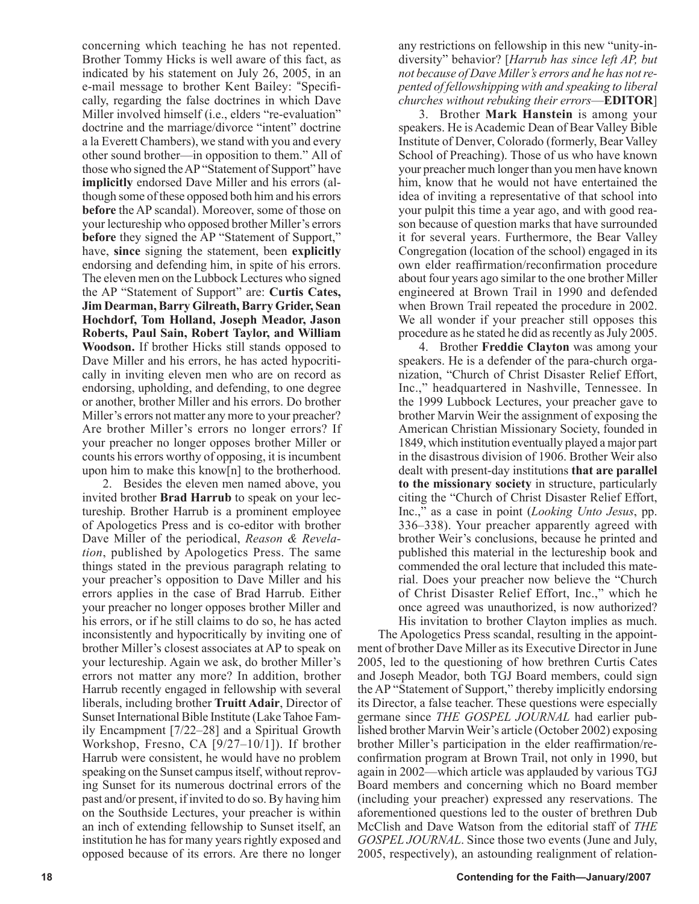concerning which teaching he has not repented. Brother Tommy Hicks is well aware of this fact, as indicated by his statement on July 26, 2005, in an e-mail message to brother Kent Bailey: "Specifically, regarding the false doctrines in which Dave Miller involved himself (i.e., elders "re-evaluation" doctrine and the marriage/divorce "intent" doctrine a la Everett Chambers), we stand with you and every other sound brother—in opposition to them." All of those who signed the AP "Statement of Support" have **implicitly** endorsed Dave Miller and his errors (although some of these opposed both him and his errors **before** the AP scandal). Moreover, some of those on your lectureship who opposed brother Miller's errors **before** they signed the AP "Statement of Support," have, **since** signing the statement, been **explicitly** endorsing and defending him, in spite of his errors. The eleven men on the Lubbock Lectures who signed the AP "Statement of Support" are: **Curtis Cates, Jim Dearman, Barry Gilreath, Barry Grider, Sean Hochdorf, Tom Holland, Joseph Meador, Jason Roberts, Paul Sain, Robert Taylor, and William Woodson.** If brother Hicks still stands opposed to Dave Miller and his errors, he has acted hypocritically in inviting eleven men who are on record as endorsing, upholding, and defending, to one degree or another, brother Miller and his errors. Do brother Miller's errors not matter any more to your preacher? Are brother Miller's errors no longer errors? If your preacher no longer opposes brother Miller or counts his errors worthy of opposing, it is incumbent upon him to make this know[n] to the brotherhood.

2. Besides the eleven men named above, you invited brother **Brad Harrub** to speak on your lectureship. Brother Harrub is a prominent employee of Apologetics Press and is co-editor with brother Dave Miller of the periodical, *Reason & Revelation*, published by Apologetics Press. The same things stated in the previous paragraph relating to your preacher's opposition to Dave Miller and his errors applies in the case of Brad Harrub. Either your preacher no longer opposes brother Miller and his errors, or if he still claims to do so, he has acted inconsistently and hypocritically by inviting one of brother Miller's closest associates at AP to speak on your lectureship. Again we ask, do brother Miller's errors not matter any more? In addition, brother Harrub recently engaged in fellowship with several liberals, including brother **Truitt Adair**, Director of Sunset International Bible Institute (Lake Tahoe Family Encampment [7/22–28] and a Spiritual Growth Workshop, Fresno, CA [9/27–10/1]). If brother Harrub were consistent, he would have no problem speaking on the Sunset campus itself, without reproving Sunset for its numerous doctrinal errors of the past and/or present, if invited to do so. By having him on the Southside Lectures, your preacher is within an inch of extending fellowship to Sunset itself, an institution he has for many years rightly exposed and opposed because of its errors. Are there no longer

any restrictions on fellowship in this new "unity-indiversity" behavior? [*Harrub has since left AP, but not because of Dave Miller's errors and he has not repented of fellowshipping with and speaking to liberal churches without rebuking their errors*—**EDITOR**]

3. Brother **Mark Hanstein** is among your speakers. He is Academic Dean of Bear Valley Bible Institute of Denver, Colorado (formerly, Bear Valley School of Preaching). Those of us who have known your preacher much longer than you men have known him, know that he would not have entertained the idea of inviting a representative of that school into your pulpit this time a year ago, and with good reason because of question marks that have surrounded it for several years. Furthermore, the Bear Valley Congregation (location of the school) engaged in its own elder reaffirmation/reconfirmation procedure about four years ago similar to the one brother Miller engineered at Brown Trail in 1990 and defended when Brown Trail repeated the procedure in 2002. We all wonder if your preacher still opposes this procedure as he stated he did as recently as July 2005.

4. Brother **Freddie Clayton** was among your speakers. He is a defender of the para-church organization, "Church of Christ Disaster Relief Effort, Inc.," headquartered in Nashville, Tennessee. In the 1999 Lubbock Lectures, your preacher gave to brother Marvin Weir the assignment of exposing the American Christian Missionary Society, founded in 1849, which institution eventually played a major part in the disastrous division of 1906. Brother Weir also dealt with present-day institutions **that are parallel to the missionary society** in structure, particularly citing the "Church of Christ Disaster Relief Effort, Inc.," as a case in point (*Looking Unto Jesus*, pp. 336–338). Your preacher apparently agreed with brother Weir's conclusions, because he printed and published this material in the lectureship book and commended the oral lecture that included this material. Does your preacher now believe the "Church of Christ Disaster Relief Effort, Inc.," which he once agreed was unauthorized, is now authorized? His invitation to brother Clayton implies as much.

The Apologetics Press scandal, resulting in the appointment of brother Dave Miller as its Executive Director in June 2005, led to the questioning of how brethren Curtis Cates and Joseph Meador, both TGJ Board members, could sign the AP "Statement of Support," thereby implicitly endorsing its Director, a false teacher. These questions were especially germane since *THE GOSPEL JOURNAL* had earlier published brother Marvin Weir's article (October 2002) exposing brother Miller's participation in the elder reaffirmation/reconfirmation program at Brown Trail, not only in 1990, but again in 2002—which article was applauded by various TGJ Board members and concerning which no Board member (including your preacher) expressed any reservations. The aforementioned questions led to the ouster of brethren Dub McClish and Dave Watson from the editorial staff of *THE GOSPEL JOURNAL*. Since those two events (June and July, 2005, respectively), an astounding realignment of relation-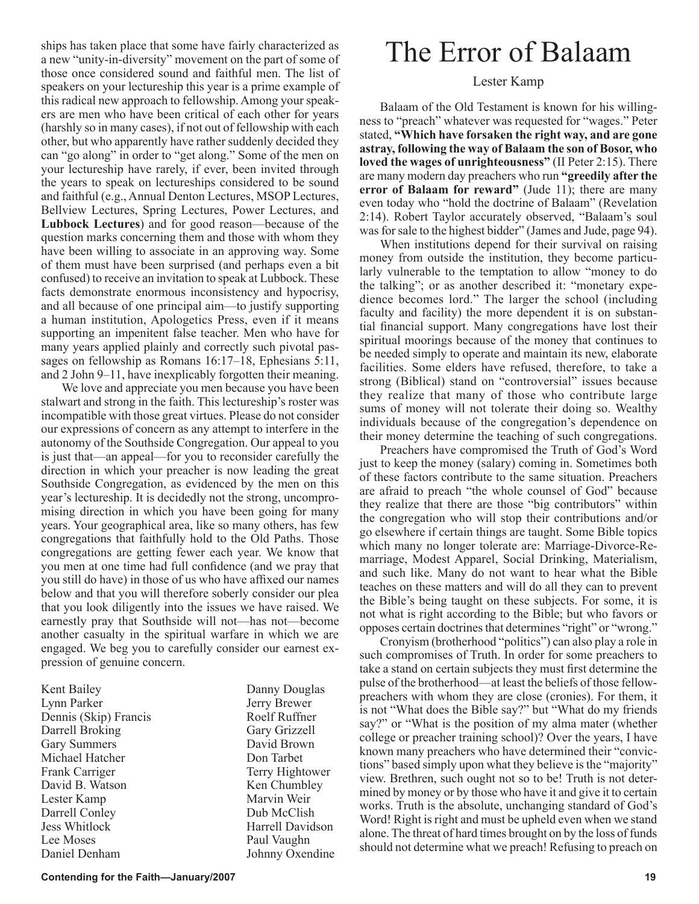ships has taken place that some have fairly characterized as a new "unity-in-diversity" movement on the part of some of those once considered sound and faithful men. The list of speakers on your lectureship this year is a prime example of this radical new approach to fellowship. Among your speakers are men who have been critical of each other for years (harshly so in many cases), if not out of fellowship with each other, but who apparently have rather suddenly decided they can "go along" in order to "get along." Some of the men on your lectureship have rarely, if ever, been invited through the years to speak on lectureships considered to be sound and faithful (e.g., Annual Denton Lectures, MSOP Lectures, Bellview Lectures, Spring Lectures, Power Lectures, and **Lubbock Lectures**) and for good reason—because of the question marks concerning them and those with whom they have been willing to associate in an approving way. Some of them must have been surprised (and perhaps even a bit confused) to receive an invitation to speak at Lubbock. These facts demonstrate enormous inconsistency and hypocrisy, and all because of one principal aim—to justify supporting a human institution, Apologetics Press, even if it means supporting an impenitent false teacher. Men who have for many years applied plainly and correctly such pivotal passages on fellowship as Romans 16:17–18, Ephesians 5:11, and 2 John 9–11, have inexplicably forgotten their meaning.

We love and appreciate you men because you have been stalwart and strong in the faith. This lectureship's roster was incompatible with those great virtues. Please do not consider our expressions of concern as any attempt to interfere in the autonomy of the Southside Congregation. Our appeal to you is just that—an appeal—for you to reconsider carefully the direction in which your preacher is now leading the great Southside Congregation, as evidenced by the men on this year's lectureship. It is decidedly not the strong, uncompromising direction in which you have been going for many years. Your geographical area, like so many others, has few congregations that faithfully hold to the Old Paths. Those congregations are getting fewer each year. We know that you men at one time had full confidence (and we pray that you still do have) in those of us who have affixed our names below and that you will therefore soberly consider our plea that you look diligently into the issues we have raised. We earnestly pray that Southside will not—has not—become another casualty in the spiritual warfare in which we are engaged. We beg you to carefully consider our earnest expression of genuine concern.

| Kent Bailey           | Danny Douglas    |
|-----------------------|------------------|
| Lynn Parker           | Jerry Brewer     |
| Dennis (Skip) Francis | Roelf Ruffner    |
| Darrell Broking       | Gary Grizzell    |
| <b>Gary Summers</b>   | David Brown      |
| Michael Hatcher       | Don Tarbet       |
| Frank Carriger        | Terry Hightower  |
| David B. Watson       | Ken Chumbley     |
| Lester Kamp           | Marvin Weir      |
| Darrell Conley        | Dub McClish      |
| <b>Jess Whitlock</b>  | Harrell Davidson |
| Lee Moses             | Paul Vaughn      |
| Daniel Denham         | Johnny Oxendine  |

# The Error of Balaam

## Lester Kamp

Balaam of the Old Testament is known for his willingness to "preach" whatever was requested for "wages." Peter stated, **"Which have forsaken the right way, and are gone astray, following the way of Balaam the son of Bosor, who loved the wages of unrighteousness"** (II Peter 2:15). There are many modern day preachers who run **"greedily after the error of Balaam for reward"** (Jude 11); there are many even today who "hold the doctrine of Balaam" (Revelation 2:14). Robert Taylor accurately observed, "Balaam's soul was for sale to the highest bidder" (James and Jude, page 94).

When institutions depend for their survival on raising money from outside the institution, they become particularly vulnerable to the temptation to allow "money to do the talking"; or as another described it: "monetary expedience becomes lord." The larger the school (including faculty and facility) the more dependent it is on substantial financial support. Many congregations have lost their spiritual moorings because of the money that continues to be needed simply to operate and maintain its new, elaborate facilities. Some elders have refused, therefore, to take a strong (Biblical) stand on "controversial" issues because they realize that many of those who contribute large sums of money will not tolerate their doing so. Wealthy individuals because of the congregation's dependence on their money determine the teaching of such congregations.

Preachers have compromised the Truth of God's Word just to keep the money (salary) coming in. Sometimes both of these factors contribute to the same situation. Preachers are afraid to preach "the whole counsel of God" because they realize that there are those "big contributors" within the congregation who will stop their contributions and/or go elsewhere if certain things are taught. Some Bible topics which many no longer tolerate are: Marriage-Divorce-Remarriage, Modest Apparel, Social Drinking, Materialism, and such like. Many do not want to hear what the Bible teaches on these matters and will do all they can to prevent the Bible's being taught on these subjects. For some, it is not what is right according to the Bible; but who favors or opposes certain doctrines that determines "right" or "wrong."

Cronyism (brotherhood "politics") can also play a role in such compromises of Truth. In order for some preachers to take a stand on certain subjects they must first determine the pulse of the brotherhood—at least the beliefs of those fellowpreachers with whom they are close (cronies). For them, it is not "What does the Bible say?" but "What do my friends say?" or "What is the position of my alma mater (whether college or preacher training school)? Over the years, I have known many preachers who have determined their "convictions" based simply upon what they believe is the "majority" view. Brethren, such ought not so to be! Truth is not determined by money or by those who have it and give it to certain works. Truth is the absolute, unchanging standard of God's Word! Right is right and must be upheld even when we stand alone. The threat of hard times brought on by the loss of funds should not determine what we preach! Refusing to preach on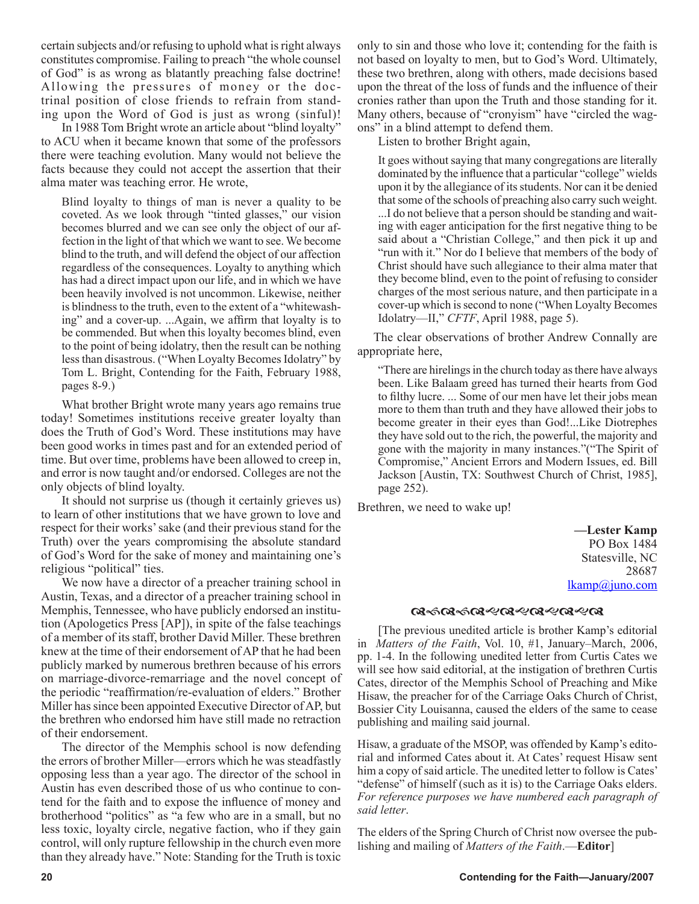certain subjects and/or refusing to uphold what is right always constitutes compromise. Failing to preach "the whole counsel of God" is as wrong as blatantly preaching false doctrine! Allowing the pressures of money or the doctrinal position of close friends to refrain from standing upon the Word of God is just as wrong (sinful)!

In 1988 Tom Bright wrote an article about "blind loyalty" to ACU when it became known that some of the professors there were teaching evolution. Many would not believe the facts because they could not accept the assertion that their alma mater was teaching error. He wrote,

Blind loyalty to things of man is never a quality to be coveted. As we look through "tinted glasses," our vision becomes blurred and we can see only the object of our affection in the light of that which we want to see. We become blind to the truth, and will defend the object of our affection regardless of the consequences. Loyalty to anything which has had a direct impact upon our life, and in which we have been heavily involved is not uncommon. Likewise, neither is blindness to the truth, even to the extent of a "whitewashing" and a cover-up. ...Again, we affirm that loyalty is to be commended. But when this loyalty becomes blind, even to the point of being idolatry, then the result can be nothing less than disastrous. ("When Loyalty Becomes Idolatry" by Tom L. Bright, Contending for the Faith, February 1988, pages 8-9.)

What brother Bright wrote many years ago remains true today! Sometimes institutions receive greater loyalty than does the Truth of God's Word. These institutions may have been good works in times past and for an extended period of time. But over time, problems have been allowed to creep in, and error is now taught and/or endorsed. Colleges are not the only objects of blind loyalty.

It should not surprise us (though it certainly grieves us) to learn of other institutions that we have grown to love and respect for their works' sake (and their previous stand for the Truth) over the years compromising the absolute standard of God's Word for the sake of money and maintaining one's religious "political" ties.

We now have a director of a preacher training school in Austin, Texas, and a director of a preacher training school in Memphis, Tennessee, who have publicly endorsed an institution (Apologetics Press [AP]), in spite of the false teachings of a member of its staff, brother David Miller. These brethren knew at the time of their endorsement of AP that he had been publicly marked by numerous brethren because of his errors on marriage-divorce-remarriage and the novel concept of the periodic "reaffirmation/re-evaluation of elders." Brother Miller has since been appointed Executive Director of AP, but the brethren who endorsed him have still made no retraction of their endorsement.

The director of the Memphis school is now defending the errors of brother Miller—errors which he was steadfastly opposing less than a year ago. The director of the school in Austin has even described those of us who continue to contend for the faith and to expose the influence of money and brotherhood "politics" as "a few who are in a small, but no less toxic, loyalty circle, negative faction, who if they gain control, will only rupture fellowship in the church even more than they already have." Note: Standing for the Truth is toxic only to sin and those who love it; contending for the faith is not based on loyalty to men, but to God's Word. Ultimately, these two brethren, along with others, made decisions based upon the threat of the loss of funds and the influence of their cronies rather than upon the Truth and those standing for it. Many others, because of "cronyism" have "circled the wagons" in a blind attempt to defend them.

Listen to brother Bright again,

It goes without saying that many congregations are literally dominated by the influence that a particular "college" wields upon it by the allegiance of its students. Nor can it be denied that some of the schools of preaching also carry such weight.

...I do not believe that a person should be standing and waiting with eager anticipation for the first negative thing to be said about a "Christian College," and then pick it up and "run with it." Nor do I believe that members of the body of Christ should have such allegiance to their alma mater that they become blind, even to the point of refusing to consider charges of the most serious nature, and then participate in a cover-up which is second to none ("When Loyalty Becomes Idolatry—II," *CFTF*, April 1988, page 5).

 The clear observations of brother Andrew Connally are appropriate here,

"There are hirelings in the church today as there have always been. Like Balaam greed has turned their hearts from God to filthy lucre. ... Some of our men have let their jobs mean more to them than truth and they have allowed their jobs to become greater in their eyes than God!...Like Diotrephes they have sold out to the rich, the powerful, the majority and gone with the majority in many instances."("The Spirit of Compromise," Ancient Errors and Modern Issues, ed. Bill Jackson [Austin, TX: Southwest Church of Christ, 1985], page 252).

Brethren, we need to wake up!

**—Lester Kamp** PO Box 1484 Statesville, NC 28687 lkamp@juno.com

#### **ଔ**୰ଔଽ୰ଔଽ୶ଔଽ୶ଔଽ୶ଔ

[The previous unedited article is brother Kamp's editorial in *Matters of the Faith*, Vol. 10, #1, January–March, 2006, pp. 1-4. In the following unedited letter from Curtis Cates we will see how said editorial, at the instigation of brethren Curtis Cates, director of the Memphis School of Preaching and Mike Hisaw, the preacher for of the Carriage Oaks Church of Christ, Bossier City Louisanna, caused the elders of the same to cease publishing and mailing said journal.

Hisaw, a graduate of the MSOP, was offended by Kamp's editorial and informed Cates about it. At Cates' request Hisaw sent him a copy of said article. The unedited letter to follow is Cates' "defense" of himself (such as it is) to the Carriage Oaks elders. *For reference purposes we have numbered each paragraph of said letter*.

The elders of the Spring Church of Christ now oversee the publishing and mailing of *Matters of the Faith*.—**Editor**]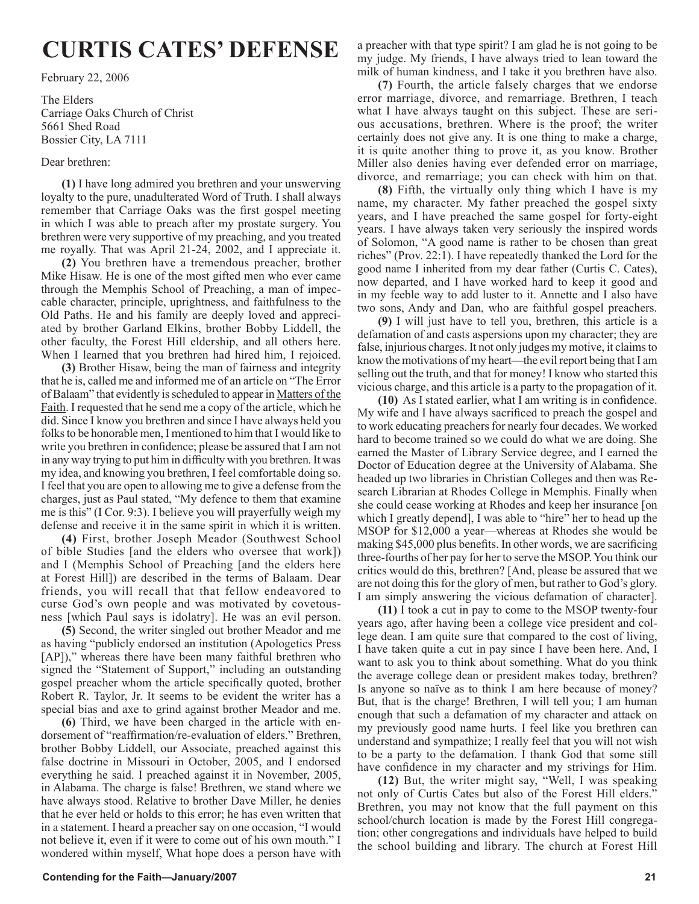# **CURTIS CATES' DEFENSE**

February 22, 2006

The Elders Carriage Oaks Church of Christ 5661 Shed Road Bossier City, LA 7111

#### Dear brethren:

**(1)** I have long admired you brethren and your unswerving loyalty to the pure, unadulterated Word of Truth. I shall always remember that Carriage Oaks was the first gospel meeting in which I was able to preach after my prostate surgery. You brethren were very supportive of my preaching, and you treated me royally. That was April 21-24, 2002, and I appreciate it.

**(2)** You brethren have a tremendous preacher, brother Mike Hisaw. He is one of the most gifted men who ever came through the Memphis School of Preaching, a man of impeccable character, principle, uprightness, and faithfulness to the Old Paths. He and his family are deeply loved and appreciated by brother Garland Elkins, brother Bobby Liddell, the other faculty, the Forest Hill eldership, and all others here. When I learned that you brethren had hired him, I rejoiced.

**(3)** Brother Hisaw, being the man of fairness and integrity that he is, called me and informed me of an article on "The Error of Balaam" that evidently is scheduled to appear in Matters of the Faith. I requested that he send me a copy of the article, which he did. Since I know you brethren and since I have always held you folks to be honorable men, I mentioned to him that I would like to write you brethren in confidence; please be assured that I am not in any way trying to put him in difficulty with you brethren. It was my idea, and knowing you brethren, I feel comfortable doing so. I feel that you are open to allowing me to give a defense from the charges, just as Paul stated, "My defence to them that examine me is this" (I Cor. 9:3). I believe you will prayerfully weigh my defense and receive it in the same spirit in which it is written.

**(4)** First, brother Joseph Meador (Southwest School of bible Studies [and the elders who oversee that work]) and I (Memphis School of Preaching [and the elders here at Forest Hill]) are described in the terms of Balaam. Dear friends, you will recall that that fellow endeavored to curse God's own people and was motivated by covetousness [which Paul says is idolatry]. He was an evil person.

**(5)** Second, the writer singled out brother Meador and me as having "publicly endorsed an institution (Apologetics Press [AP])," whereas there have been many faithful brethren who signed the "Statement of Support," including an outstanding gospel preacher whom the article specifically quoted, brother Robert R. Taylor, Jr. It seems to be evident the writer has a special bias and axe to grind against brother Meador and me.

**(6)** Third, we have been charged in the article with endorsement of "reaffirmation/re-evaluation of elders." Brethren, brother Bobby Liddell, our Associate, preached against this false doctrine in Missouri in October, 2005, and I endorsed everything he said. I preached against it in November, 2005, in Alabama. The charge is false! Brethren, we stand where we have always stood. Relative to brother Dave Miller, he denies that he ever held or holds to this error; he has even written that in a statement. I heard a preacher say on one occasion, "I would not believe it, even if it were to come out of his own mouth." I wondered within myself, What hope does a person have with

a preacher with that type spirit? I am glad he is not going to be my judge. My friends, I have always tried to lean toward the milk of human kindness, and I take it you brethren have also.

**(7)** Fourth, the article falsely charges that we endorse error marriage, divorce, and remarriage. Brethren, I teach what I have always taught on this subject. These are serious accusations, brethren. Where is the proof; the writer certainly does not give any. It is one thing to make a charge, it is quite another thing to prove it, as you know. Brother Miller also denies having ever defended error on marriage, divorce, and remarriage; you can check with him on that.

**(8)** Fifth, the virtually only thing which I have is my name, my character. My father preached the gospel sixty years, and I have preached the same gospel for forty-eight years. I have always taken very seriously the inspired words of Solomon, "A good name is rather to be chosen than great riches" (Prov. 22:1). I have repeatedly thanked the Lord for the good name I inherited from my dear father (Curtis C. Cates), now departed, and I have worked hard to keep it good and in my feeble way to add luster to it. Annette and I also have two sons, Andy and Dan, who are faithful gospel preachers.

**(9)** I will just have to tell you, brethren, this article is a defamation of and casts aspersions upon my character; they are false, injurious charges. It not only judges my motive, it claims to know the motivations of my heart—the evil report being that I am selling out the truth, and that for money! I know who started this vicious charge, and this article is a party to the propagation of it.

**(10)** As I stated earlier, what I am writing is in confidence. My wife and I have always sacrificed to preach the gospel and to work educating preachers for nearly four decades. We worked hard to become trained so we could do what we are doing. She earned the Master of Library Service degree, and I earned the Doctor of Education degree at the University of Alabama. She headed up two libraries in Christian Colleges and then was Research Librarian at Rhodes College in Memphis. Finally when she could cease working at Rhodes and keep her insurance [on which I greatly depend], I was able to "hire" her to head up the MSOP for \$12,000 a year—whereas at Rhodes she would be making \$45,000 plus benefits. In other words, we are sacrificing three-fourths of her pay for her to serve the MSOP. You think our critics would do this, brethren? [And, please be assured that we are not doing this for the glory of men, but rather to God's glory. I am simply answering the vicious defamation of character].

**(11)** I took a cut in pay to come to the MSOP twenty-four years ago, after having been a college vice president and college dean. I am quite sure that compared to the cost of living, I have taken quite a cut in pay since I have been here. And, I want to ask you to think about something. What do you think the average college dean or president makes today, brethren? Is anyone so naïve as to think I am here because of money? But, that is the charge! Brethren, I will tell you; I am human enough that such a defamation of my character and attack on my previously good name hurts. I feel like you brethren can understand and sympathize; I really feel that you will not wish to be a party to the defamation. I thank God that some still have confidence in my character and my strivings for Him.

**(12)** But, the writer might say, "Well, I was speaking not only of Curtis Cates but also of the Forest Hill elders." Brethren, you may not know that the full payment on this school/church location is made by the Forest Hill congregation; other congregations and individuals have helped to build the school building and library. The church at Forest Hill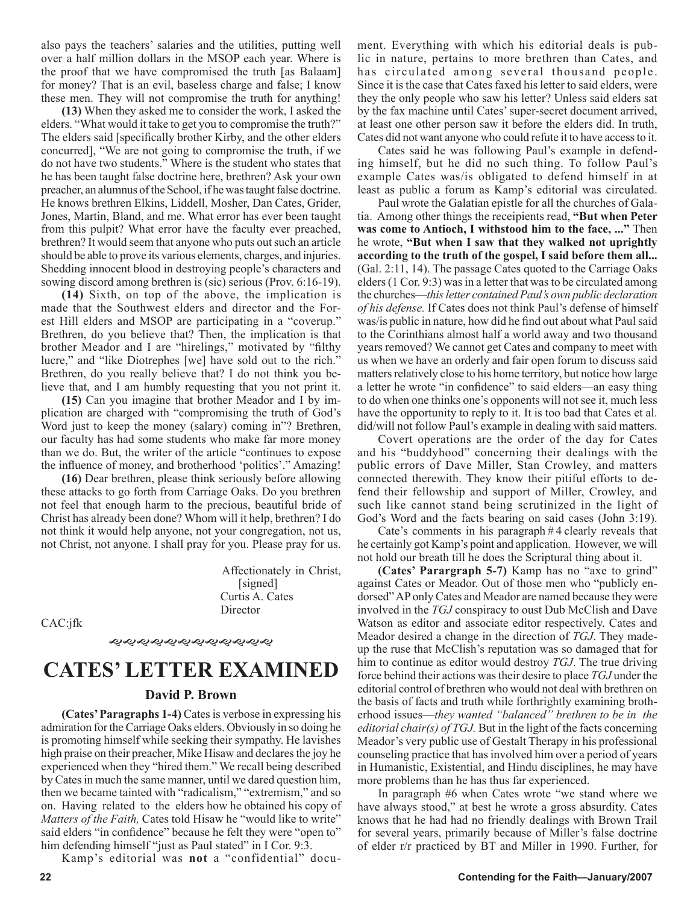also pays the teachers' salaries and the utilities, putting well over a half million dollars in the MSOP each year. Where is the proof that we have compromised the truth [as Balaam] for money? That is an evil, baseless charge and false; I know these men. They will not compromise the truth for anything!

**(13)** When they asked me to consider the work, I asked the elders. "What would it take to get you to compromise the truth?" The elders said [specifically brother Kirby, and the other elders concurred], "We are not going to compromise the truth, if we do not have two students." Where is the student who states that he has been taught false doctrine here, brethren? Ask your own preacher, an alumnus of the School, if he was taught false doctrine. He knows brethren Elkins, Liddell, Mosher, Dan Cates, Grider, Jones, Martin, Bland, and me. What error has ever been taught from this pulpit? What error have the faculty ever preached, brethren? It would seem that anyone who puts out such an article should be able to prove its various elements, charges, and injuries. Shedding innocent blood in destroying people's characters and sowing discord among brethren is (sic) serious (Prov. 6:16-19).

**(14)** Sixth, on top of the above, the implication is made that the Southwest elders and director and the Forest Hill elders and MSOP are participating in a "coverup." Brethren, do you believe that? Then, the implication is that brother Meador and I are "hirelings," motivated by "filthy lucre," and "like Diotrephes [we] have sold out to the rich." Brethren, do you really believe that? I do not think you believe that, and I am humbly requesting that you not print it.

**(15)** Can you imagine that brother Meador and I by implication are charged with "compromising the truth of God's Word just to keep the money (salary) coming in"? Brethren, our faculty has had some students who make far more money than we do. But, the writer of the article "continues to expose the influence of money, and brotherhood 'politics'." Amazing!

**(16)** Dear brethren, please think seriously before allowing these attacks to go forth from Carriage Oaks. Do you brethren not feel that enough harm to the precious, beautiful bride of Christ has already been done? Whom will it help, brethren? I do not think it would help anyone, not your congregation, not us, not Christ, not anyone. I shall pray for you. Please pray for us.

> Affectionately in Christ, [signed] Curtis A. Cates Director

CAC:jfk

*ઌ૽*ઌ૽ઌઌઌઌઌઌઌઌઌ

# **CATES' LETTER EXAMINED**

#### **David P. Brown**

**(Cates' Paragraphs 1-4)** Cates is verbose in expressing his admiration for the Carriage Oaks elders. Obviously in so doing he is promoting himself while seeking their sympathy. He lavishes high praise on their preacher, Mike Hisaw and declares the joy he experienced when they "hired them." We recall being described by Cates in much the same manner, until we dared question him, then we became tainted with "radicalism," "extremism," and so on. Having related to the elders how he obtained his copy of *Matters of the Faith,* Cates told Hisaw he "would like to write" said elders "in confidence" because he felt they were "open to" him defending himself "just as Paul stated" in I Cor. 9:3.

Kamp's editorial was **not** a "confidential" docu-

Cates said he was following Paul's example in defending himself, but he did no such thing. To follow Paul's example Cates was/is obligated to defend himself in at least as public a forum as Kamp's editorial was circulated.

Paul wrote the Galatian epistle for all the churches of Galatia. Among other things the receipients read, **"But when Peter was come to Antioch, I withstood him to the face, ..."** Then he wrote, **"But when I saw that they walked not uprightly according to the truth of the gospel, I said before them all...** (Gal. 2:11, 14). The passage Cates quoted to the Carriage Oaks elders (1 Cor. 9:3) was in a letter that was to be circulated among the churches—*this letter contained Paul's own public declaration of his defense.* If Cates does not think Paul's defense of himself was/is public in nature, how did he find out about what Paul said to the Corinthians almost half a world away and two thousand years removed? We cannot get Cates and company to meet with us when we have an orderly and fair open forum to discuss said matters relatively close to his home territory, but notice how large a letter he wrote "in confidence" to said elders—an easy thing to do when one thinks one's opponents will not see it, much less have the opportunity to reply to it. It is too bad that Cates et al. did/will not follow Paul's example in dealing with said matters.

Covert operations are the order of the day for Cates and his "buddyhood" concerning their dealings with the public errors of Dave Miller, Stan Crowley, and matters connected therewith. They know their pitiful efforts to defend their fellowship and support of Miller, Crowley, and such like cannot stand being scrutinized in the light of God's Word and the facts bearing on said cases (John 3:19).

Cate's comments in his paragraph # 4 clearly reveals that he certainly got Kamp's point and application. However, we will not hold our breath till he does the Scriptural thing about it.

**(Cates' Parargraph 5-7)** Kamp has no "axe to grind" against Cates or Meador. Out of those men who "publicly endorsed" AP only Cates and Meador are named because they were involved in the *TGJ* conspiracy to oust Dub McClish and Dave Watson as editor and associate editor respectively. Cates and Meador desired a change in the direction of *TGJ*. They madeup the ruse that McClish's reputation was so damaged that for him to continue as editor would destroy *TGJ*. The true driving force behind their actions was their desire to place *TGJ* under the editorial control of brethren who would not deal with brethren on the basis of facts and truth while forthrightly examining brotherhood issues—*they wanted "balanced" brethren to be in the editorial chair(s) of TGJ.* But in the light of the facts concerning Meador's very public use of Gestalt Therapy in his professional counseling practice that has involved him over a period of years in Humanistic, Existential, and Hindu disciplines, he may have more problems than he has thus far experienced.

In paragraph #6 when Cates wrote "we stand where we have always stood," at best he wrote a gross absurdity. Cates knows that he had had no friendly dealings with Brown Trail for several years, primarily because of Miller's false doctrine of elder r/r practiced by BT and Miller in 1990. Further, for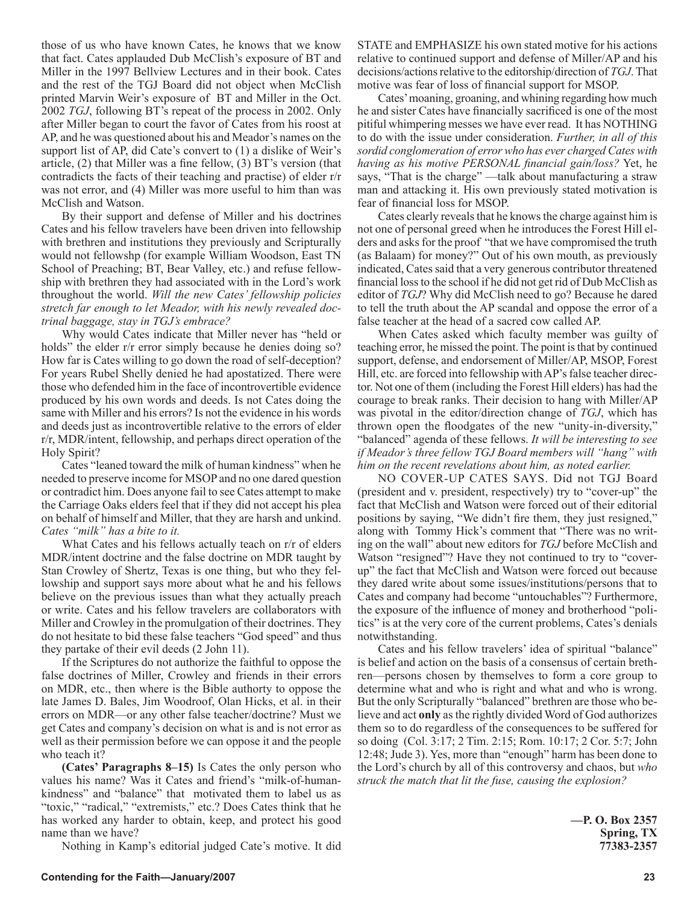those of us who have known Cates, he knows that we know that fact. Cates applauded Dub McClish's exposure of BT and Miller in the 1997 Bellview Lectures and in their book. Cates and the rest of the TGJ Board did not object when McClish printed Marvin Weir's exposure of BT and Miller in the Oct. 2002 *TGJ*, following BT's repeat of the process in 2002. Only after Miller began to court the favor of Cates from his roost at AP, and he was questioned about his and Meador's names on the support list of AP, did Cate's convert to (1) a dislike of Weir's article, (2) that Miller was a fine fellow, (3) BT's version (that contradicts the facts of their teaching and practise) of elder r/r was not error, and (4) Miller was more useful to him than was McClish and Watson.

By their support and defense of Miller and his doctrines Cates and his fellow travelers have been driven into fellowship with brethren and institutions they previously and Scripturally would not fellowshp (for example William Woodson, East TN School of Preaching; BT, Bear Valley, etc.) and refuse fellowship with brethren they had associated with in the Lord's work throughout the world. *Will the new Cates' fellowship policies stretch far enough to let Meador, with his newly revealed doctrinal baggage, stay in TGJ's embrace?*

Why would Cates indicate that Miller never has "held or holds" the elder r/r error simply because he denies doing so? How far is Cates willing to go down the road of self-deception? For years Rubel Shelly denied he had apostatized. There were those who defended him in the face of incontrovertible evidence produced by his own words and deeds. Is not Cates doing the same with Miller and his errors? Is not the evidence in his words and deeds just as incontrovertible relative to the errors of elder r/r, MDR/intent, fellowship, and perhaps direct operation of the Holy Spirit?

Cates "leaned toward the milk of human kindness" when he needed to preserve income for MSOP and no one dared question or contradict him. Does anyone fail to see Cates attempt to make the Carriage Oaks elders feel that if they did not accept his plea on behalf of himself and Miller, that they are harsh and unkind. *Cates "milk" has a bite to it.*

What Cates and his fellows actually teach on r/r of elders MDR/intent doctrine and the false doctrine on MDR taught by Stan Crowley of Shertz, Texas is one thing, but who they fellowship and support says more about what he and his fellows believe on the previous issues than what they actually preach or write. Cates and his fellow travelers are collaborators with Miller and Crowley in the promulgation of their doctrines. They do not hesitate to bid these false teachers "God speed" and thus they partake of their evil deeds (2 John 11).

If the Scriptures do not authorize the faithful to oppose the false doctrines of Miller, Crowley and friends in their errors on MDR, etc., then where is the Bible authorty to oppose the late James D. Bales, Jim Woodroof, Olan Hicks, et al. in their errors on MDR—or any other false teacher/doctrine? Must we get Cates and company's decision on what is and is not error as well as their permission before we can oppose it and the people who teach it?

**(Cates' Paragraphs 8–15)** Is Cates the only person who values his name? Was it Cates and friend's "milk-of-humankindness" and "balance" that motivated them to label us as "toxic," "radical," "extremists," etc.? Does Cates think that he has worked any harder to obtain, keep, and protect his good name than we have?

Nothing in Kamp's editorial judged Cate's motive. It did

STATE and EMPHASIZE his own stated motive for his actions relative to continued support and defense of Miller/AP and his decisions/actions relative to the editorship/direction of *TGJ*. That motive was fear of loss of financial support for MSOP.

Cates' moaning, groaning, and whining regarding how much he and sister Cates have financially sacrificed is one of the most pitiful whimpering messes we have ever read. It has NOTHING to do with the issue under consideration. *Further, in all of this sordid conglomeration of error who has ever charged Cates with having as his motive PERSONAL financial gain/loss?* Yet, he says, "That is the charge" —talk about manufacturing a straw man and attacking it. His own previously stated motivation is fear of financial loss for MSOP.

Cates clearly reveals that he knows the charge against him is not one of personal greed when he introduces the Forest Hill elders and asks for the proof "that we have compromised the truth (as Balaam) for money?" Out of his own mouth, as previously indicated, Cates said that a very generous contributor threatened financial loss to the school if he did not get rid of Dub McClish as editor of *TGJ*? Why did McClish need to go? Because he dared to tell the truth about the AP scandal and oppose the error of a false teacher at the head of a sacred cow called AP.

When Cates asked which faculty member was guilty of teaching error, he missed the point. The point is that by continued support, defense, and endorsement of Miller/AP, MSOP, Forest Hill, etc. are forced into fellowship with AP's false teacher director. Not one of them (including the Forest Hill elders) has had the courage to break ranks. Their decision to hang with Miller/AP was pivotal in the editor/direction change of *TGJ*, which has thrown open the floodgates of the new "unity-in-diversity," "balanced" agenda of these fellows. *It will be interesting to see if Meador's three fellow TGJ Board members will "hang" with him on the recent revelations about him, as noted earlier.*

NO COVER-UP CATES SAYS. Did not TGJ Board (president and v. president, respectively) try to "cover-up" the fact that McClish and Watson were forced out of their editorial positions by saying, "We didn't fire them, they just resigned," along with Tommy Hick's comment that "There was no writing on the wall" about new editors for *TGJ* before McClish and Watson "resigned"? Have they not continued to try to "coverup" the fact that McClish and Watson were forced out because they dared write about some issues/institutions/persons that to Cates and company had become "untouchables"? Furthermore, the exposure of the influence of money and brotherhood "politics" is at the very core of the current problems, Cates's denials notwithstanding.

Cates and his fellow travelers' idea of spiritual "balance" is belief and action on the basis of a consensus of certain brethren—persons chosen by themselves to form a core group to determine what and who is right and what and who is wrong. But the only Scripturally "balanced" brethren are those who believe and act **only** as the rightly divided Word of God authorizes them so to do regardless of the consequences to be suffered for so doing (Col. 3:17; 2 Tim. 2:15; Rom. 10:17; 2 Cor. 5:7; John 12:48; Jude 3). Yes, more than "enough" harm has been done to the Lord's church by all of this controversy and chaos, but *who struck the match that lit the fuse, causing the explosion?*

> **—P. O. Box 2357 Spring, TX 77383-2357**